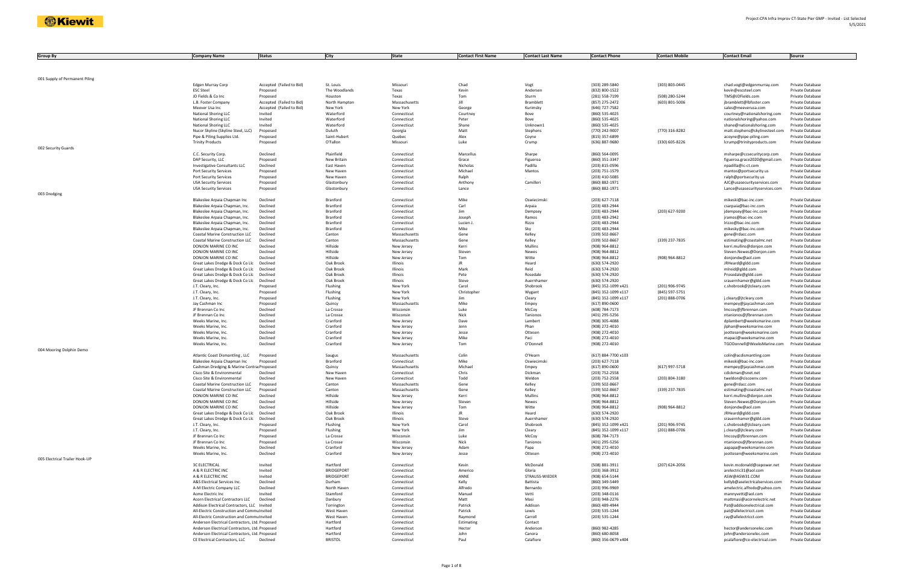| <b>Group By</b>                | <b>Company Name</b>                                                                        | <b>Status</b>            | City                      | <b>State</b>                 | <b>Contact First Name</b> | <b>Contact Last Name</b> | <b>Contact Phone</b>             | <b>Contact Mobile</b> | <b>Contact Email</b>                                       | <b>Source</b>                        |
|--------------------------------|--------------------------------------------------------------------------------------------|--------------------------|---------------------------|------------------------------|---------------------------|--------------------------|----------------------------------|-----------------------|------------------------------------------------------------|--------------------------------------|
|                                |                                                                                            |                          |                           |                              |                           |                          |                                  |                       |                                                            |                                      |
|                                |                                                                                            |                          |                           |                              |                           |                          |                                  |                       |                                                            |                                      |
|                                |                                                                                            |                          |                           |                              |                           |                          |                                  |                       |                                                            |                                      |
| 001 Supply of Permanent Piling | Edgen Murray Corp                                                                          | Accepted (Failed to Bid) | St. Louis                 | Missouri                     | Chad                      | Vogt                     | (303) 289-5840                   | (303) 803-0445        | chad.vogt@edgenmurray.com                                  | Private Database                     |
|                                | <b>ESC Steel</b>                                                                           | Proposed                 | The Woodlands             | Texas                        | Kevin                     | Andersen                 | (832) 800-1522                   |                       | kevin@escsteel.com                                         | Private Database                     |
|                                | JD Fields & Co Inc                                                                         | Proposed                 | Houston                   | Texas                        | Tom                       | Sturm                    | (281) 558-7199                   | (508) 280-5244        | TMS@JDFields.com                                           | Private Database                     |
|                                | L.B. Foster Company                                                                        | Accepted (Failed to Bid) | North Hampton             | Massachusetts                | Jill                      | Bramblett                | (857) 275-2472                   | (603) 801-5006        | jbramblett@lbfoster.com                                    | Private Database                     |
|                                | Meever Usa Inc                                                                             | Accepted (Failed to Bid) | New York                  | New York                     | George                    | Kurimsky                 | (646) 727-7582                   |                       | sales@meeverusa.com                                        | Private Database                     |
|                                | <b>National Shoring LLC</b><br><b>National Shoring LLC</b>                                 | Invited<br>Invited       | Waterford<br>Waterford    | Connecticut<br>Connecticut   | Courtney<br>Peter         | Bove<br>Bove             | (860) 535-4025<br>(860) 535-4025 |                       | courtney@nationalshoring.com                               | Private Database<br>Private Database |
|                                | <b>National Shoring LLC</b>                                                                | Invited                  | Waterford                 | Connecticut                  | Shane                     | Unknown1                 | (860) 535-4025                   |                       | nationalshoring@yahoo.com<br>shane@nationalshoring.com     | Private Database                     |
|                                | Nucor Skyline (Skyline Steel, LLC)                                                         | Proposed                 | Duluth                    | Georgia                      | Matt                      | Stephens                 | (770) 242-9007                   | (770) 316-8282        | matt.stephens@skylinesteel.com                             | Private Database                     |
|                                | Pipe & Piling Supplies Ltd.                                                                | Proposed                 | Saint-Hubert              | Quebec                       | Alex                      | Coyne                    | (815) 357-6899                   |                       | acoyne@pipe-piling.com                                     | Private Database                     |
|                                | <b>Trinity Products</b>                                                                    | Proposed                 | O'Fallon                  | Missouri                     | Luke                      | Crump                    | (636) 887-9680                   | (330) 605-8226        | lcrump@trinityproducts.com                                 | Private Database                     |
| 002 Security Guards            |                                                                                            |                          |                           |                              |                           |                          |                                  |                       |                                                            |                                      |
|                                | C.C. Security Corp.<br>DAP Security, LLC                                                   | Declined<br>Proposed     | Plainfield<br>New Britain | Connecticut<br>Connecticut   | Marcellus<br>Grace        | Sharpe<br>Figueroa       | (860) 564-0095<br>(860) 351-3347 |                       | msharpe@ccsecuritycorp.com<br>figueroa.grace2020@gmail.com | Private Database<br>Private Database |
|                                | Investigative Consultants LLC                                                              | Declined                 | East Haven                | Connecticut                  | Nicholas                  | Padilla                  | (203) 815-0596                   |                       | npadilla@ic-ct.com                                         | Private Database                     |
|                                | Port Security Services                                                                     | Proposed                 | New Haven                 | Connecticut                  | Michael                   | Mantos                   | (203) 751-1579                   |                       | mantos@portsecurity.us                                     | Private Database                     |
|                                | Port Security Services                                                                     | Proposed                 | New Haven                 | Connecticut                  | Ralph                     |                          | (203) 410-5085                   |                       | ralph@portsecurity.us                                      | Private Database                     |
|                                | <b>USA Security Services</b>                                                               | Proposed                 | Glastonbury               | Connecticut                  | Anthony                   | Camilleri                | (860) 882-1971                   |                       | AJC@usasecurityservices.com                                | Private Database                     |
|                                | <b>USA Security Services</b>                                                               | Proposed                 | Glastonbury               | Connecticut                  | Lance                     |                          | (860) 882-1971                   |                       | Lance@usasecurityservices.com                              | Private Database                     |
| 003 Dredging                   |                                                                                            |                          |                           |                              |                           |                          |                                  |                       |                                                            |                                      |
|                                | Blakeslee Arpaia Chapman Inc                                                               | Declined                 | Branford<br>Branford      | Connecticut                  | Mike<br>Carl              | Oswiecimsk               | (203) 627-7118                   |                       | mikeski@bac-inc.com                                        | Private Database                     |
|                                | Blakeslee Arpaia Chapman, Inc.<br>Blakeslee Arpaia Chapman, Inc.                           | Declined<br>Declined     | Branford                  | Connecticut<br>Connecticut   | Jim                       | Arpaia<br>Dempsey        | (203) 483-2944<br>(203) 483-2944 | (203) 627-9200        | csarpaia@bac-inc.com<br>jdempsey@bac-inc.com               | Private Database<br>Private Database |
|                                | Blakeslee Arpaia Chapman, Inc.                                                             | Declined                 | Branford                  | Connecticut                  | Joseph                    | Ramos                    | (203) 483-2942                   |                       | jramos@bac-inc.com                                         | Private Database                     |
|                                | Blakeslee Arpaia Chapman, Inc.                                                             | Declined                 | Branford                  | Connecticut                  | Lucien J                  | Rizzo                    | (203) 483-2944                   |                       | Irizzo@bac-inc.com                                         | Private Database                     |
|                                | Blakeslee Arpaia Chapman, Inc.                                                             | Declined                 | Branford                  | Connecticut                  | Mike                      | Sky                      | (203) 483-2944                   |                       | mikesky@bac-inc.com                                        | Private Database                     |
|                                | Coastal Marine Construction LLC                                                            | Declined                 | Canton                    | Massachusetts                | Gene                      | Kelley                   | (339) 502-8667                   |                       | gene@rdacc.com                                             | Private Database                     |
|                                | Coastal Marine Construction LLC                                                            | Declined                 | Canton                    | Massachusetts                | Gene                      | Kelley                   | (339) 502-8667                   | (339) 237-7835        | estimating@coastalmc.net                                   | Private Database                     |
|                                | DONJON MARINE CO INC                                                                       | Declined                 | Hillside                  | New Jersey                   | Kerri                     | Mullins                  | (908) 964-8812                   |                       | kerri.mullins@donjon.com                                   | Private Database                     |
|                                | DONJON MARINE CO INC<br>DONJON MARINE CO INC                                               | Declined<br>Declined     | Hillside<br>Hillside      | New Jersey                   | Steven<br>Tom             | Newes<br>Witte           | (908) 964-8812                   |                       | Steven.Newes@Donjon.com                                    | Private Database<br>Private Database |
|                                | Great Lakes Dredge & Dock Co Llc                                                           | Declined                 | Oak Brook                 | New Jersey<br>Illinois       | JR                        | Heard                    | (908) 964-8812<br>(630) 574-2920 | (908) 964-8812        | donjondw@aol.com<br>JRHeard@gldd.com                       | Private Database                     |
|                                | Great Lakes Dredge & Dock Co Llc                                                           | Declined                 | Oak Brook                 | Illinois                     | Mark                      | Reid                     | (630) 574-2920                   |                       | mlreid@gldd.com                                            | Private Database                     |
|                                | Great Lakes Dredge & Dock Co Llc                                                           | Declined                 | Oak Brook                 | Illinois                     | Pete                      | Rosedale                 | (630) 574-2920                   |                       | Prosedale@gldd.com                                         | Private Database                     |
|                                | Great Lakes Dredge & Dock Co Llc                                                           | Declined                 | Oak Brook                 | Illinois                     | Steve                     | Auernhame                | (630) 574-2920                   |                       | srauernhamer@gldd.com                                      | Private Database                     |
|                                | J.T. Cleary, Inc.                                                                          | Proposed                 | Flushing                  | New York                     | Carol                     | Shobrook                 | (845) 352-1099 x421              | (201) 906-9745        | c.shobrook@jtcleary.com                                    | Private Database                     |
|                                | J.T. Cleary, Inc.                                                                          | Proposed                 | Flushing                  | New York                     | Christopher               | Wygant                   | (845) 352-1099 x117              | (845) 597-5751        |                                                            | Private Database                     |
|                                | J.T. Cleary, Inc.                                                                          | Proposed                 | Flushing                  | New York                     | Jim                       | Cleary                   | (845) 352-1099 x117              | (201) 888-0706        | j.cleary@jtcleary.com                                      | Private Database                     |
|                                | Jay Cashman Inc<br>JF Brennan Co Inc                                                       | Proposed<br>Declined     | Quincy<br>La Crosse       | Massachusetts<br>Wisconsin   | Mike<br>Luke              | Empey<br>McCoy           | (617) 890-0600<br>(608) 784-7173 |                       | mempey@jaycashman.com<br>Imccoy@jfbrennan.com              | Private Database<br>Private Database |
|                                | JF Brennan Co Inc                                                                          | Declined                 | La Crosse                 | Wisconsin                    | Nick                      | Tanionos                 | (401) 295-5256                   |                       | ntanionos@jfbrennan.com                                    | Private Database                     |
|                                | Weeks Marine, Inc.                                                                         | Declined                 | Cranford                  | New Jersey                   | Dave                      | Lambert                  | (908) 305-4088                   |                       | dplambert@weeksmarine.com                                  | Private Database                     |
|                                | Weeks Marine, Inc.                                                                         | Declined                 | Cranford                  | New Jersey                   | Jenn                      | Phan                     | (908) 272-4010                   |                       | jlphan@weeksmarine.com                                     | Private Database                     |
|                                | Weeks Marine, Inc.                                                                         | Declined                 | Cranford                  | New Jersey                   | Jesse                     | Ottesen                  | (908) 272-4010                   |                       | jeottesen@weeksmarine.com                                  | Private Database                     |
|                                | Weeks Marine, Inc.                                                                         | Declined                 | Cranford                  | New Jersey                   | Mike                      | Paci                     | (908) 272-4010                   |                       | mapaci@weeksmarine.com                                     | Private Database                     |
|                                | Weeks Marine, Inc.                                                                         | Declined                 | Cranford                  | New Jersey                   | Tom                       | O'Donnell                | (908) 272-4010                   |                       | TGODonnell@WeeksMarine.com                                 | Private Database                     |
| 004 Mooring Dolphin Demo       |                                                                                            |                          |                           |                              |                           |                          | (617) 884-7700 x103              |                       |                                                            |                                      |
|                                | Atlantic Coast Dismantling, LLC<br>Blakeslee Arpaia Chapman Inc                            | Proposed<br>Proposed     | Saugus<br>Branford        | Massachusetts<br>Connecticut | Colin<br>Mike             | O'Hearn<br>Oswiecimsk    | (203) 627-7118                   |                       | colin@acdismantling.com<br>mikeski@bac-inc.com             | Private Database<br>Private Database |
|                                | Cashman Dredging & Marine ContracProposed                                                  |                          | Quincy                    | Massachusetts                | Michael                   | Empey                    | (617) 890-0600                   | (617) 997-5718        | mempey@jaycashman.com                                      | Private Database                     |
|                                | Cisco Site & Environmental                                                                 | Declined                 | New Haven                 | Connecticut                  | Chris                     | Dickman                  | (203) 752-2558                   |                       | cdickman@snet.net                                          | Private Database                     |
|                                | Cisco Site & Environmental                                                                 | Declined                 | New Haven                 | Connecticut                  | Todd                      | Weldon                   | (203) 752-2558                   | (203) 804-3180        | tweldon@ciscoenv.com                                       | Private Database                     |
|                                | <b>Coastal Marine Construction LLC</b>                                                     | Proposed                 | Canton                    | Massachusetts                | Gene                      | Kelley                   | (339) 502-8667                   |                       | gene@rdacc.com                                             | Private Database                     |
|                                | Coastal Marine Construction LLC                                                            | Proposed                 | Canton                    | Massachusetts                | Gene                      | Kelley                   | (339) 502-8667                   | (339) 237-7835        | estimating@coastalmc.net                                   | Private Database                     |
|                                | DONJON MARINE CO INC                                                                       | Declined                 | Hillside                  | New Jersey                   | Kerri                     | Mullins                  | (908) 964-8812                   |                       | kerri.mullins@donjon.com                                   | Private Database                     |
|                                | DONJON MARINE CO INC<br>DONJON MARINE CO INC                                               | Declined<br>Declined     | Hillside<br>Hillside      | New Jersey<br>New Jersey     | Steven<br>Tom             | Newes<br>Witte           | (908) 964-8812<br>(908) 964-8812 | (908) 964-8812        | Steven.Newes@Donjon.com<br>donjondw@aol.com                | Private Database<br>Private Database |
|                                | Great Lakes Dredge & Dock Co Llc                                                           | Declined                 | Oak Brook                 | Illinois                     | JR.                       | Heard                    | (630) 574-2920                   |                       | JRHeard@gldd.com                                           | Private Database                     |
|                                | Great Lakes Dredge & Dock Co Llc                                                           | Declined                 | Oak Brook                 | Illinois                     | Steve                     | Auernhamer               | (630) 574-2920                   |                       | srauernhamer@gldd.com                                      | Private Database                     |
|                                | J.T. Cleary, Inc.                                                                          | Proposed                 | Flushing                  | New York                     | Carol                     | Shobrook                 | (845) 352-1099 x421              | (201) 906-9745        | c.shobrook@jtcleary.com                                    | Private Database                     |
|                                | J.T. Cleary, Inc.                                                                          | Proposed                 | Flushing                  | New York                     | Jim                       | Cleary                   | (845) 352-1099 x117              | (201) 888-0706        | j.cleary@jtcleary.com                                      | Private Database                     |
|                                | JF Brennan Co Inc                                                                          | Proposed                 | La Crosse                 | Wisconsin                    | Luke                      | McCoy                    | (608) 784-7173                   |                       | Imccoy@jfbrennan.com                                       | Private Database                     |
|                                | JF Brennan Co Inc                                                                          | Proposed                 | La Crosse                 | Wisconsin                    | Nick                      | Tanionos                 | (401) 295-5256                   |                       | ntanionos@jfbrennan.com                                    | Private Database                     |
|                                | Weeks Marine, Inc.                                                                         | Declined<br>Declined     | Cranford<br>Cranford      | New Jersey                   | Adam                      | Papa<br>Ottesen          | (908) 272-4010                   |                       | aapapa@weeksmarine.com                                     | Private Database<br>Private Database |
| 005 Electrical Trailer Hook-UP | Weeks Marine, Inc.                                                                         |                          |                           | New Jersey                   | Jesse                     |                          | (908) 272-4010                   |                       | jeottesen@weeksmarine.com                                  |                                      |
|                                | <b>3C ELECTRICAL</b>                                                                       | Invited                  | Hartford                  | Connecticut                  | Kevin                     | McDonald                 | (508) 881-3911                   | (207) 624-2056        | kevin.mcdonald@cepower.net                                 | Private Database                     |
|                                | A & R ELECTRIC INC                                                                         | Invited                  | <b>BRIDGEPORT</b>         | Connecticut                  | Americo                   | Gloria                   | (203) 368-3912                   |                       | arelectric31@aol.com                                       | Private Database                     |
|                                | A & R ELECTRIC INC                                                                         | Invited                  | <b>BRIDGEPORT</b>         | Connecticut                  | ANNE                      | STRAUSS-WIEDER           | (908) 654-5144                   |                       | ASW@ASW31.COM                                              | Private Database                     |
|                                | A&S Electrical Services Inc.                                                               | Declined                 | Durham                    | Connecticut                  | Kelly                     | Battista                 | (860) 349-5449                   |                       | kellyb@aselectricalservices.com                            | Private Database                     |
|                                | A-M Electric Company LLC                                                                   | Declined                 | North Haven               | Connecticut                  | Alfredo                   | Bernardo                 | (203) 996-9969                   |                       | amelectric.alfredo@yahoo.com                               | Private Database                     |
|                                | Acme Electric Inc                                                                          | Invited                  | Stamford                  | Connecticut                  | Manuel                    | Vetti                    | (203) 348-0116                   |                       | mannyvetti@aol.com                                         | Private Database                     |
|                                | Acorn Electrical Contractors LLC                                                           | Declined                 | Danbury                   | Connecticut                  | Matt                      | Masi                     | (203) 948-2276                   |                       | mattmasi@acornelectric.net                                 | Private Database                     |
|                                | Addison Electrical Contractors, LLC Invited<br>All-Electric Construction and Commu Invited |                          | Torrington<br>West Haven  | Connecticut<br>Connecticut   | Patrick<br>Patrick        | Addison<br>Lewis         | (860) 489-4944<br>(203) 535-1244 |                       | Pat@addisonelectrical.com<br>pat@allelectricct.com         | Private Database<br>Private Database |
|                                | All-Electric Construction and Commu Invited                                                |                          | West Haven                | Connecticut                  | Raymond                   | Carroll                  | (203) 535-1244                   |                       | ray@allelectricct.com                                      | Private Database                     |
|                                | Anderson Electrical Contractors, Ltd. Proposed                                             |                          | Hartford                  | Connecticut                  | Estimating                | Contact                  |                                  |                       |                                                            | Private Database                     |
|                                | Anderson Electrical Contractors, Ltd. Proposed                                             |                          | Hartford                  | Connecticut                  | Hector                    | Anderson                 | (860) 982-4285                   |                       | hector@andersonelec.com                                    | Private Database                     |
|                                | Anderson Electrical Contractors, Ltd. Proposed                                             |                          | Hartford                  | Connecticut                  | John                      | Canora                   | (860) 680-8058                   |                       | john@andersonelec.com                                      | Private Database                     |
|                                | CE Electrical Contractors, LLC                                                             | Declined                 | <b>BRISTOL</b>            | Connecticut                  | Paul                      | Calafiore                | (860) 356-0679 x404              |                       | pcalafiore@ce-electrical.com                               | Private Database                     |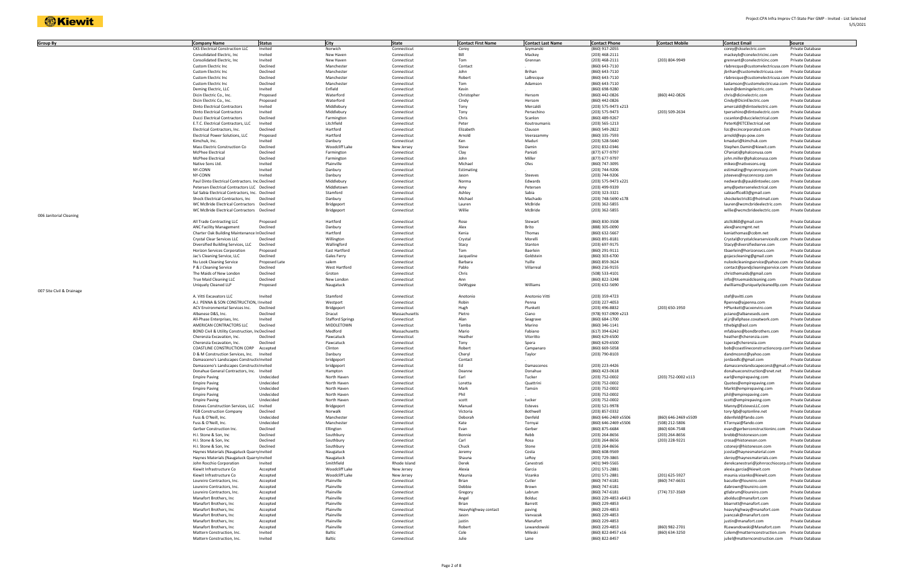| <b>Group By</b>           | <b>Company Name</b>                                        | <b>Status</b> | City                    | <b>State</b>  | <b>Contact First Name</b> | <b>Contact Last Name</b> | <b>Contact Phone</b> | <b>Contact Mobile</b> | <b>Contact Email</b>                                 | <b>Source</b>           |
|---------------------------|------------------------------------------------------------|---------------|-------------------------|---------------|---------------------------|--------------------------|----------------------|-----------------------|------------------------------------------------------|-------------------------|
|                           | <b>CKS Electrical Construction LLC</b>                     | Invited       | Norwich                 | Connecticut   | Corey                     | Szymanski                | (860) 917-2055       |                       | corey@ckselectric.com                                | Private Database        |
|                           |                                                            |               |                         |               | Bill                      | Mackey                   | (203) 468-2111       |                       |                                                      | Private Database        |
|                           | Consolidated Electric, Inc.<br>Consolidated Electric, Inc. | Invited       | New Haven               | Connecticut   |                           |                          |                      |                       | mackeyb@conelectricinc.com                           |                         |
|                           |                                                            | Invited       | New Haven               | Connecticut   | Tom                       | Grennan                  | (203) 468-2111       | (203) 804-9949        | grennant@conelectricinc.com                          | Private Database        |
|                           | Custom Electric Inc                                        | Declined      | Manchester              | Connecticut   | Contact                   |                          | (860) 643-7110       |                       | rlabrecque@customelectricusa.com Private Database    |                         |
|                           | Custom Electric Inc                                        | Declined      | Manchester              | Connecticut   | John                      | Brihan                   | (860) 643-7110       |                       | jbrihan@customelectricusa.com                        | Private Database        |
|                           | Custom Electric Inc                                        | Declined      | Manchester              | Connecticut   | Robert                    | LaBrecque                | (860) 643-7110       |                       | rlabrecque@customelectricusa.com Private Database    |                         |
|                           | Custom Electric Inc                                        | Declined      | Manchester              | Connecticut   | Tom                       | Adamson                  | (860) 643-7110       |                       | tadamson@customelectricusa.com Private Database      |                         |
|                           | Deming Electric, LLC                                       | Invited       | Enfield                 | Connecticut   | Kevin                     |                          | (860) 698-9280       |                       | kevin@demingelectric.com                             | <b>Private Database</b> |
|                           | Dicin Electric Co., Inc.                                   | Proposed      | Waterford               | Connecticut   | Christopher               | Hersom                   | (860) 442-0826       | (860) 442-0826        | chris@dicinelectric.com                              | Private Database        |
|                           | Dicin Electric Co., Inc.                                   | Proposed      | Waterford               | Connecticut   | Cindy                     | Hersom                   | (860) 442-0826       |                       | Cindy@DicinElectric.com                              | Private Database        |
|                           | <b>Dinto Electrical Contractors</b>                        | Invited       | Middlebury              | Connecticut   | Tony                      | Mercaldi                 | (203) 575-9473 x213  |                       | amercaldi@dintoelectric.com                          | Private Database        |
|                           | <b>Dinto Electrical Contractors</b>                        | Invited       | Middlebury              | Connecticut   | Tony                      | Persechino               | (203) 575-9473       | (203) 509-2634        | tpersehino@dintoelectric.com                         | Private Database        |
|                           | <b>Ducci Electrical Contractors</b>                        | Declined      | Farmington              | Connecticut   | Chris                     | Scanlon                  | (860) 489-9267       |                       | cscanlon@duccielectrical.com                         | Private Database        |
|                           | E.T.C. Electrical Contractors, LLC                         | Invited       | Litchfield              | Connecticut   | Peter                     | Koutroumanis             | (203) 565-1213       |                       | PeterK@ETCElectrical.net                             | Private Database        |
|                           | Electrical Contractors, Inc.                               | Declined      | Hartford                | Connecticut   | Elizabeth                 | Clauson                  | (860) 549-2822       |                       | lizc@ecincorporated.com                              | Private Database        |
|                           | Electrical Power Solutions, LLC                            | Proposed      | Hartford                | Connecticut   | Arnold                    | Veerasammy               | (860) 335-7593       |                       | arnold@eps-pow.com                                   | Private Database        |
|                           | Kimchuk, Inc.                                              | Invited       | Danbury                 | Connecticut   | Ken                       | Maduri                   | (203) 528-5640       |                       | kmaduri@kimchuk.com                                  | Private Database        |
|                           | Mass Electric Construction Co                              | Declined      | Woodcliff Lake          | New Jersey    | Steve                     | Damin                    | (201) 832-0346       |                       | Stephen.Damin@kiewit.com                             | Private Database        |
|                           | McPhee Electrical                                          | Declined      | Farmington              | Connecticut   | Clay                      | Paniati                  | (877) 677-9797       |                       | CPaniati@phalconusa.com                              | Private Database        |
|                           | McPhee Electrical                                          | Declined      | Farmington              |               | John                      | Miller                   | (877) 677-9797       |                       |                                                      | Private Database        |
|                           |                                                            |               |                         | Connecticut   |                           |                          |                      |                       | john.miller@phalconusa.com                           |                         |
|                           | Native Sons Ltd.                                           | Invited       | Plainville              | Connecticut   | Michael                   | Oles                     | (860) 747-3095       |                       | mikeo@nativesons.org                                 | Private Database        |
|                           | NY-CONN                                                    | Invited       | Danbury                 | Connecticut   | Estimating                |                          | (203) 744-9206       |                       | estimating@nyconncorp.com                            | Private Database        |
|                           | NY-CONN                                                    | Invited       | Danbury                 | Connecticut   | Jason                     | Steeves                  | (203) 744-9206       |                       | jsteeves@nyconncorp.com                              | Private Database        |
|                           | Paul Dinto Electrical Contractors. Inc Declined            |               | Middlebury              | Connecticut   | Norma                     | Edwards                  | (203) 575-9473 x221  |                       | nedwards@pauldintoelec.com                           | Private Database        |
|                           | Petersen Electrical Contractors LLC Declined               |               | Middletown              | Connecticut   | Amy                       | Petersen                 | (203) 499-9339       |                       | amy@petersenelectrical.com                           | Private Database        |
|                           | Sal Sabia Electrical Contractors, Inc. Declined            |               | Stamford                | Connecticut   | Ashley                    | Sabia                    | (203) 323-3321       |                       | sabiaoffice83@gmail.com                              | Private Database        |
|                           | Shock Electrical Contractors, Inc                          | Declined      | Danbury                 | Connecticut   | Michael                   | Machado                  | (203) 748-5690 x178  |                       | shockelectric81@hotmail.com                          | Private Database        |
|                           | WC McBride Electrical Contractors Declined                 |               | Bridgeport              | Connecticut   | Lauren                    | McBride                  | (203) 362-5855       |                       | lauren@wcmcbrideelectric.com                         | Private Database        |
|                           | WC McBride Electrical Contractors Declined                 |               | Bridgeport              | Connecticut   | Willie                    | McBride                  | (203) 362-5855       |                       | willie@wcmcbrideelectric.com                         | Private Database        |
| 006 Janitorial Cleaning   |                                                            |               |                         |               |                           |                          |                      |                       |                                                      |                         |
|                           | All Trade Contracting LLC                                  | Proposed      | Hartford                | Connecticut   | Rose                      | Stewart                  | (860) 830-3508       |                       | atcllc860@gmail.com                                  | Private Database        |
|                           | <b>ANC Facility Management</b>                             | Declined      | Danbury                 | Connecticut   | Alex                      | Brito                    | (888) 305-0090       |                       | alex@ancmgmt.net                                     | Private Database        |
|                           | Charter Oak Building Maintenance In Declined               |               | Hartford                | Connecticut   | Kenia                     | Thomas                   | (860) 632-5667       |                       | keniathomas@cobm.net                                 | Private Database        |
|                           | Crystal Clear Services LLC                                 | Declined      | Willington              | Connecticut   | Crystal                   | Morelli                  | (860) 891-8181       |                       | Crystal@crystalclearservicesllc.com Private Database |                         |
|                           | Diversified Building Services, LLC                         | Declined      |                         | Connecticut   | Stacy                     | Stanton                  |                      |                       |                                                      | Private Database        |
|                           |                                                            |               | Wallingford             |               |                           |                          | (203) 697-9175       |                       | Stacy@diversifiedserve.com                           |                         |
|                           | Horizon Services Corporation                               | Proposed      | East Hartford           | Connecticut   | Tom                       | Baerlein                 | (860) 291-9111       |                       | tbaerlein@horizonsvcs.com                            | Private Database        |
|                           | Jac's Cleaning Service, LLC                                | Declined      | Gales Ferry             | Connecticut   | Jacqueline                | Goldstein                | (860) 303-6700       |                       | gojacscleaning@gmail.com                             | Private Database        |
|                           | Nu Look Cleaning Service                                   | Proposed Late | salem                   | Connecticut   | Barbara                   | Yuille                   | (860) 859-3624       |                       | nulookcleaningservice@yahoo.com Private Database     |                         |
|                           | P & J Cleaning Service                                     | Declined      | West Hartford           | Connecticut   | Pablo                     | Villarreal               | (860) 216-9155       |                       | contact@pandjcleaningservice.com Private Database    |                         |
|                           | The Maids of New London                                    | Declined      | Groton                  | Connecticut   | Chris                     |                          | (508) 533-4101       |                       | christhemaids@gmail.com                              | Private Database        |
|                           | True Maid Cleaning LLC                                     | Declined      | New London              | Connecticut   | Ann                       |                          | (860) 822-3248       |                       | info@truemaidcleaning.com                            | Private Database        |
|                           | Uniquely Cleaned LLP                                       | Proposed      | Naugatuck               | Connecticut   | DeWygee                   | Williams                 | (203) 632-5690       |                       | dwilliams@uniquelycleanedllp.com Private Database    |                         |
| 007 Site Civil & Drainage |                                                            |               |                         |               |                           |                          |                      |                       |                                                      |                         |
|                           | A. Vitti Excavators LLC                                    | Invited       | Stamford                | Connecticut   | Anotonio                  | Anotonio Vitti           | (203) 359-4723       |                       | stef@avitti.com                                      | Private Database        |
|                           |                                                            |               |                         |               |                           |                          |                      |                       |                                                      |                         |
|                           | A.J. PENNA & SON CONSTRUCTION, I Invited                   |               | Westport                | Connecticut   | Robin                     | Penna                    | (203) 227-4053       |                       | Rpenna@ajpenna.com                                   | Private Database        |
|                           | ACV Environmental Services Inc.                            | Declined      | Bridgeport              | Connecticut   | Hugh                      | Plunkett                 | (203) 496-8832       | (203) 650-1950        | HPlunkett@acvenviro.com                              | Private Database        |
|                           | Albanese D&S, Inc.                                         | Declined      | Dracut                  | Massachusetts | Pietro                    | Ciano                    | (978) 937-0909 x213  |                       | pciano@albaneseds.com                                | Private Database        |
|                           | All-Phase Enterprises, Inc.                                | Invited       | <b>Stafford Springs</b> | Connecticut   | Alan                      | Seagrave                 | (860) 684-1700       |                       | al.jr@allphase.coxatwork.com                         | Private Database        |
|                           | AMERICAN CONTRACTORS LLC                                   | Declined      | MIDDLETOWN              | Connecticut   | Tamba                     | Marino                   | (860) 346-1141       |                       | tthebigt@aol.com                                     | Private Database        |
|                           | BOND Civil & Utility Construction, IncDeclined             |               | Medford                 | Massachusetts | Mario                     | Fabiano                  | (617) 394-6242       |                       | mfabiano@bondbrothers.com                            | Private Database        |
|                           | Cherenzia Excavation, Inc.                                 | Declined      | Pawcatuck               | Connecticut   | Heather                   | Viteritto                | (860) 629-6500       |                       | heather@cherenzia.com                                | Private Database        |
|                           | Cherenzia Excavation, Inc.                                 | Declined      | Pawcatuck               | Connecticut   | Tony                      | Spera                    | (860) 629-6500       |                       | tspera@cherenzia.com                                 | Private Database        |
|                           | COASTLINE CONSTRUCTION CORP                                | Accepted      | Clinton                 | Connecticut   | Robert                    | Campanaro                | (860) 669-5058       |                       | bob@coastlineconstructioncorp.com Private Database   |                         |
|                           | D & M Construction Services, Inc.                          | Invited       | Danbury                 | Connecticut   | Cheryl                    | Taylor                   | (203) 790-8103       |                       | dandmconst@yahoo.com                                 | Private Database        |
|                           |                                                            |               |                         |               | Contact                   |                          |                      |                       |                                                      | Private Database        |
|                           | Damasceno's Landscapes Constructic Invited                 |               | bridgeport              | Connecticut   |                           |                          |                      |                       | jordaodlc@gmail.com                                  |                         |
|                           | Damasceno's Landscapes Constructic Invited                 |               | bridgeport              | Connecticut   | Ed                        | Damascenos               | (203) 223-4426       |                       | damascenolandscapeconst@gmail.coPrivate Database     |                         |
|                           | Donahue General Contractors, Inc. Invited                  |               | Hampton                 | Connecticut   | Deanne                    | Donahue                  | (860) 423-0618       |                       | donahueconstruction@snet.net                         | Private Database        |
|                           | <b>Empire Paving</b>                                       | Undecided     | North Haven             | Connecticut   | Earl                      | Tucker                   | (203) 752-0002       | (203) 752-0002 x113   | earl@empirepaving.com                                | Private Database        |
|                           | <b>Empire Paving</b>                                       | Undecided     | North Haven             | Connecticut   | Loretta                   | Quattrini                | (203) 752-0002       |                       | Quotes@empirepaving.com                              | Private Database        |
|                           | <b>Empire Paving</b>                                       | Undecided     | North Haven             | Connecticut   | Mark                      | Tamsin                   | (203) 752-0002       |                       | Markt@empirepaving.com                               | Private Database        |
|                           | <b>Empire Paving</b>                                       | Undecided     | North Haven             | Connecticut   | Phil                      |                          | (203) 752-0002       |                       | phil@empirepaving.com                                | Private Database        |
|                           | <b>Empire Paving</b>                                       | Undecided     | North Haven             | Connecticut   | scott                     | tucker                   | (203) 752-0002       |                       | scott@empirepaving.com                               | Private Database        |
|                           | <b>Esteves Construction Services, LLC</b>                  | Invited       | Bridgeport              | Connecticut   | Manuel                    | Esteves                  | (203) 521-9978       |                       | Manny@EstevesLLC.com                                 | Private Database        |
|                           | <b>FGB Construction Company</b>                            | Declined      | Norwalk                 | Connecticut   | Victoria                  | Bothwell                 | (203) 857-0332       |                       | tory-fgb@optonline.net                               | Private Database        |
|                           | Fuss & O'Neill, Inc.                                       | Undecided     | Manchester              | Connecticut   | Deborah                   | Denfeld                  | (860) 646-2469 x5506 | (860) 646-2469 x5509  | ddenfeld@fando.com                                   | Private Database        |
|                           | Fuss & O'Neill, Inc.                                       | Undecided     | Manchester              | Connecticut   | Kate                      | Tornyai                  | (860) 646-2469 x5506 | (508) 212-5806        | KTornyai@fando.com                                   | Private Database        |
|                           |                                                            |               |                         |               |                           |                          |                      |                       |                                                      |                         |
|                           | Gerber Construction Inc.                                   | Declined      | Ellington               | Connecticut   | Evan                      | Gerber                   | (860) 875-6684       | (860) 604-7548        | evan@gerberconstructioninc.com                       | Private Database        |
|                           | H.I. Stone & Son, Inc                                      | Declined      | Southbury               | Connecticut   | Bonnie                    | Rebb                     | (203) 264-8656       | (203) 264-8656        | brebb@histoneson.com                                 | Private Database        |
|                           | H.I. Stone & Son, Inc                                      | Declined      | Southbury               | Connecticut   | Carl                      | Rosa                     | (203) 264-8656       | (203) 228-9221        | crosa@histoneson.com                                 | Private Database        |
|                           | H.I. Stone & Son, Inc                                      | Declined      | Southbury               | Connecticut   | Chuck                     | Stone                    | (203) 264-8656       |                       | cstonejr@histoneson.com                              | Private Database        |
|                           | Haynes Materials (Naugatuck Quarry Invited                 |               | Naugatuck               | Connecticut   | Jeremy                    | Costa                    | (860) 608-9569       |                       | jcosta@haynesmaterial.com                            | Private Database        |
|                           | Haynes Materials (Naugatuck Quarry Invited                 |               | Naugatuck               | Connecticut   | Shauna                    | LeRoy                    | (203) 729-3865       |                       | sleroy@haynesmaterials.com                           | Private Database        |
|                           | John Rocchio Corporation                                   | Invited       | Smithfield              | Rhode Island  | Derek                     | Canestrati               | (401) 949-5565       |                       | derekcanestrari@johnrocchiocorp.ccPrivate Database   |                         |
|                           | Kiewit Infrastructure Co                                   | Accepted      | Woodcliff Lake          | New Jersey    | Alexia                    | Garcia                   | (201) 571-2881       |                       | alexia.garcia@kiewit.com                             | Private Database        |
|                           | Kiewit Infrastructure Co                                   | Accepted      | Woodcliff Lake          | New Jersey    | Maunia                    | Vizanko                  | (201) 571-2881       | (201) 625-5927        | maunia.vizanko@kiewit.com                            | Private Database        |
|                           | Loureiro Contractors, Inc.                                 | Accepted      | Plainville              | Connecticut   | Brian                     | Cutler                   | (860) 747-6181       | (860) 747-6631        | bacutler@loureiro.com                                | Private Database        |
|                           |                                                            |               |                         |               |                           |                          |                      |                       |                                                      |                         |
|                           | Loureiro Contractors, Inc.                                 | Accepted      | Plainville              | Connecticut   | Debbie                    | Brown                    | (860) 747-6181       |                       | dabrown@loureiro.com                                 | Private Database        |
|                           | Loureiro Contractors, Inc.                                 | Accepted      | Plainville              | Connecticut   | Gregory                   | Labrum                   | (860) 747-6181       | (774) 737-3569        | gtlabrum@loureiro.com                                | Private Database        |
|                           | Manafort Brothers, Inc                                     | Accepted      | Plainville              | Connecticut   | Angel                     | Bolduc                   | (860) 229-4853 x6413 |                       | abolduc@manafort.com                                 | Private Database        |
|                           | Manafort Brothers, Inc                                     | Accepted      | Plainville              | Connecticut   | Brian                     | Barrett                  | (860) 229-4853       |                       | bbarrett@manafort.com                                | Private Database        |
|                           | Manafort Brothers, Inc                                     | Accepted      | Plainville              | Connecticut   | Heavyhighway contact      | paving                   | (860) 229-4853       |                       | heavyhighway@manafort.com                            | Private Database        |
|                           | Manafort Brothers, Inc                                     | Accepted      | Plainville              | Connecticut   | Jason                     | Vanvazak                 | (860) 229-4853       |                       | jvanczak@manafort.com                                | Private Database        |
|                           | Manafort Brothers, Inc                                     | Accepted      | Plainville              | Connecticut   | justin                    | Manafort                 | (860) 229-4853       |                       | justin@manafort.com                                  | Private Database        |
|                           | Manafort Brothers, Inc                                     | Accepted      | Plainville              | Connecticut   | Robert                    | Lewandowski              | (860) 229-4853       | (860) 982-2701        | RLewandowski@Manafort.com                            | Private Database        |
|                           | Mattern Construction, Inc.                                 | Invited       | Baltic                  | Connecticut   | Cole                      | Mileski                  | (860) 822-8457 x16   | (860) 634-3250        | Colem@matternconstruction.com                        | Private Database        |
|                           | Mattern Construction, Inc.                                 | Invited       | Baltic                  | Connecticut   | Julie                     |                          | (860) 822-8457       |                       | juliel@matternconstruction.com                       | Private Database        |
|                           |                                                            |               |                         |               |                           | Lane                     |                      |                       |                                                      |                         |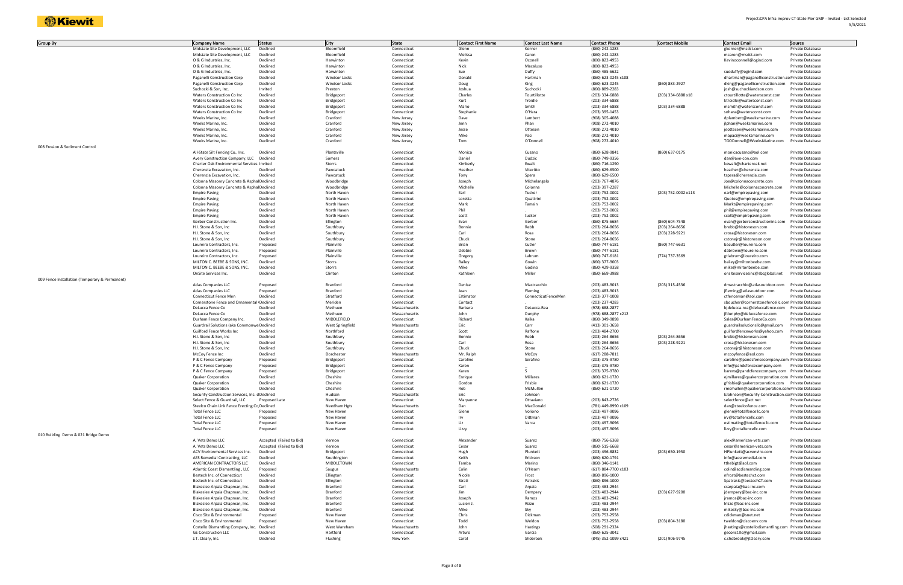| <b>Group By</b>                                | <b>Company Name</b>                            | <b>Status</b>            | City             | <b>State</b>  | <b>Contact First Name</b> | <b>Contact Last Name</b> | <b>Contact Phone</b> | <b>Contact Mobile</b> | <b>Contact Email</b>                               | Source           |
|------------------------------------------------|------------------------------------------------|--------------------------|------------------|---------------|---------------------------|--------------------------|----------------------|-----------------------|----------------------------------------------------|------------------|
|                                                |                                                | Declined                 | Bloomfield       |               |                           | Korner                   | (860) 242-1283       |                       |                                                    |                  |
|                                                | Midstate Site Development, LLC                 |                          |                  | Connecticut   | Glenn                     |                          |                      |                       | gkorner@msdct.com                                  | Private Database |
|                                                | Midstate Site Development, LLC                 | Declined                 | Bloomfield       | Connecticut   | Melissa                   | Caron                    | (860) 242-1283       |                       | mcaron@msdct.com                                   | Private Database |
|                                                | O & G Industries, Inc.                         | Declined                 | Harwinton        | Connecticut   | Kevin                     | Oconell                  | (800) 822-4953       |                       | Kevinoconnell@ogind.com                            | Private Database |
|                                                | O & G Industries, Inc.                         | Declined                 | Harwinton        | Connecticut   | Nick                      | Macaluso                 | (800) 822-4953       |                       |                                                    | Private Database |
|                                                | O & G Industries, Inc.                         | Declined                 | Harwinton        | Connecticut   | Sue                       | Duffy                    | (860) 485-6622       |                       | sueduffy@ogind.com                                 | Private Database |
|                                                | Paganelli Construction Corp                    | Declined                 | Windsor Locks    | Connecticut   | Donald                    | Hartman                  | (860) 623-0245 x108  |                       | dhartman@paganelliconstruction.co Private Database |                  |
|                                                | Paganelli Construction Corp                    | Declined                 | Windsor Locks    | Connecticut   | Doug                      | King                     | (860) 623-0245       | (860) 883-2927        | dking@paganelliconstruction.com                    | Private Database |
|                                                | Suchocki & Son, Inc.                           | Invited                  | Preston          | Connecticut   | Joshua                    | Suchocki                 | (860) 889-2283       |                       | josh@suchockiandson.com                            | Private Database |
|                                                |                                                |                          |                  |               | Charles                   |                          |                      |                       |                                                    |                  |
|                                                | Waters Construction Co Inc                     | Declined                 | Bridgeport       | Connecticut   |                           | Tourtillotte             | (203) 334-6888       | (203) 334-6888 x18    | ctourtillotte@watersconst.com                      | Private Database |
|                                                | Waters Construction Co Inc                     | Declined                 | Bridgeport       | Connecticut   | Kurt                      | Troidle                  | (203) 334-6888       |                       | ktroidle@watersconst.com                           | Private Database |
|                                                | Waters Construction Co Inc                     | Declined                 | Bridgeport       | Connecticut   | Mario                     | Smith                    | (203) 334-6888       | (203) 334-6888        | msmith@watersconst.com                             | Private Database |
|                                                | Waters Construction Co Inc                     | Declined                 | Bridgeport       | Connecticut   | Stephanie                 | O'Hara                   | (203) 395-1453       |                       | sohara@watersconst.com                             | Private Database |
|                                                | Weeks Marine, Inc.                             | Declined                 | Cranford         | New Jersey    | Dave                      | Lambert                  | (908) 305-4088       |                       | dplambert@weeksmarine.com                          | Private Database |
|                                                | Weeks Marine, Inc.                             | Declined                 | Cranford         | New Jersey    | Jenn                      | Phan                     | (908) 272-4010       |                       | jlphan@weeksmarine.com                             | Private Database |
|                                                | Weeks Marine, Inc.                             | Declined                 | Cranford         | New Jersey    | Jesse                     | Ottesen                  | (908) 272-4010       |                       | jeottesen@weeksmarine.com                          | Private Database |
|                                                | Weeks Marine, Inc.                             | Declined                 | Cranford         | New Jersey    | Mike                      | Paci                     | (908) 272-4010       |                       | mapaci@weeksmarine.com                             | Private Database |
|                                                | Weeks Marine, Inc.                             | Declined                 | Cranford         |               | Tom                       | O'Donnell                | (908) 272-4010       |                       | TGODonnell@WeeksMarine.com                         |                  |
|                                                |                                                |                          |                  | New Jersey    |                           |                          |                      |                       |                                                    | Private Database |
| 008 Erosion & Sediment Control                 |                                                |                          |                  |               |                           |                          |                      |                       |                                                    |                  |
|                                                | All-State Silt Fencing Co., Inc.               | Declined                 | Plantsville      | Connecticut   | Monica                    | Cusano                   | (860) 628-9841       | (860) 637-0175        | monicacusano@aol.com                               | Private Database |
|                                                | Avery Construction Company, LLC                | Declined                 | Somers           | Connecticut   | Daniel                    | Dudzic                   | (860) 749-9356       |                       | dan@ave-con.com                                    | Private Database |
|                                                | Charter Oak Environmental Services Invited     |                          | Storrs           | Connecticut   | Kimberly                  | Ewalt                    | (860) 716-1290       |                       | kewalt@charteroak.net                              | Private Database |
|                                                | Cherenzia Excavation, Inc.                     | Declined                 | Pawcatuck        | Connecticut   | Heather                   | Viteritto                | (860) 629-6500       |                       | heather@cherenzia.com                              | Private Database |
|                                                | Cherenzia Excavation, Inc.                     | Declined                 | Pawcatuck        | Connecticut   | Tony                      | Spera                    | (860) 629-6500       |                       | tspera@cherenzia.com                               | Private Database |
|                                                | Colonna Masonry Concrete & Asphal Declined     |                          | Woodbridge       | Connecticut   | Joseph                    | Michelangelo             | (203) 767-4876       |                       | Joe@colonnaconcrete.com                            | Private Database |
|                                                | Colonna Masonry Concrete & Asphal Declined     |                          | Woodbridge       | Connecticut   | Michelle                  | Colonna                  | (203) 397-2287       |                       | Michelle@colonnaconcrete.com                       | Private Database |
|                                                |                                                |                          |                  |               |                           |                          |                      |                       |                                                    |                  |
|                                                | <b>Empire Paving</b>                           | Declined                 | North Haven      | Connecticut   | Earl                      | Tucker                   | (203) 752-0002       | (203) 752-0002 x113   | earl@empirepaving.com                              | Private Database |
|                                                | <b>Empire Paving</b>                           | Declined                 | North Haven      | Connecticut   | Loretta                   | Quattrini                | (203) 752-0002       |                       | Quotes@empirepaving.com                            | Private Database |
|                                                | <b>Empire Paving</b>                           | Declined                 | North Haven      | Connecticut   | Mark                      | Tamsin                   | (203) 752-0002       |                       | Markt@empirepaving.com                             | Private Database |
|                                                | <b>Empire Paving</b>                           | Declined                 | North Haven      | Connecticut   | Phil                      |                          | (203) 752-0002       |                       | phil@empirepaving.com                              | Private Database |
|                                                | <b>Empire Paving</b>                           | Declined                 | North Haven      | Connecticut   | scott                     | tucker                   | (203) 752-0002       |                       | scott@empirepaving.com                             | Private Database |
|                                                | Gerber Construction Inc.                       | Declined                 | Ellington        | Connecticut   | Evan                      | Gerber                   | (860) 875-6684       | (860) 604-7548        | evan@gerberconstructioninc.com                     | Private Database |
|                                                | H.I. Stone & Son, Inc                          | Declined                 | Southbury        |               | Bonnie                    | Rebb                     | (203) 264-8656       | (203) 264-8656        |                                                    |                  |
|                                                |                                                |                          |                  | Connecticut   |                           |                          |                      |                       | brebb@histoneson.com                               | Private Database |
|                                                | H.I. Stone & Son, Inc                          | Declined                 | Southbury        | Connecticut   | Carl                      | Rosa                     | (203) 264-8656       | (203) 228-9221        | crosa@histoneson.com                               | Private Database |
|                                                | H.I. Stone & Son, Inc                          | Declined                 | Southbury        | Connecticut   | Chuck                     | Stone                    | (203) 264-8656       |                       | cstonejr@histoneson.com                            | Private Database |
|                                                | Loureiro Contractors, Inc.                     | Proposed                 | Plainville       | Connecticut   | Brian                     | Cutler                   | (860) 747-6181       | (860) 747-6631        | bacutler@loureiro.com                              | Private Database |
|                                                | Loureiro Contractors, Inc.                     | Proposed                 | Plainville       | Connecticut   | Debbie                    | Brown                    | (860) 747-6181       |                       | dabrown@loureiro.com                               | Private Database |
|                                                | Loureiro Contractors, Inc.                     | Proposed                 | Plainville       | Connecticut   | Gregory                   | Labrum                   | (860) 747-6181       | (774) 737-3569        | gtlabrum@loureiro.com                              | Private Database |
|                                                | MILTON C. BEEBE & SONS, INC.                   | Declined                 | Storrs           | Connecticut   | Bailey                    | Gowin                    | (860) 377-9003       |                       | bailey@miltonbeebe.com                             | Private Database |
|                                                | MILTON C. BEEBE & SONS, INC.                   | Declined                 | Storrs           | Connecticut   | Mike                      | Godino                   | (860) 429-9358       |                       | mike@miltonbeebe.com                               | Private Database |
|                                                | OnSite Services Inc.                           | Declined                 | Clinton          |               | Kathleen                  | Miller                   |                      |                       |                                                    | Private Database |
|                                                |                                                |                          |                  | Connecticut   |                           |                          | (860) 669-3988       |                       | onsiteservicesinc@sbcglobal.net                    |                  |
| 009 Fence Installation (Temporary & Permanent) |                                                |                          |                  |               |                           |                          |                      |                       |                                                    |                  |
|                                                | Atlas Companies LLC                            | Proposed                 | Branford         | Connecticut   | Denise                    | Mastracchi               | (203) 483-9013       | (203) 315-4536        | dmastracchio@atlasoutdoor.com                      | Private Database |
|                                                | Atlas Companies LLC                            | Proposed                 | Branford         | Connecticut   | Jean                      | Fleming                  | (203) 483-9013       |                       | jfleming@atlasoutdoor.com                          | Private Database |
|                                                | Connecticut Fence Men                          | Declined                 | Stratford        | Connecticut   | Estimator                 | ConnecticutFenceMen      | (203) 377-1008       |                       | ctfenceman@aol.com                                 | Private Database |
|                                                | Cornerstone Fence and Ornamental Declined      |                          | Meriden          | Connecticut   | Contact                   |                          | (203) 237-4283       |                       | sboucher@cornerstonefencellc.com Private Database  |                  |
|                                                | DeLucca Fence Co                               | Declined                 | Methuen          | Massachusetts | Barbara                   | DeLucca-Rea              | (978) 688-2877       |                       | bjdelucca-rea@deluccafence.com                     | Private Database |
|                                                | DeLucca Fence Co                               | Declined                 | Methuen          | Massachusetts | John                      | Dunphy                   | (978) 688-2877 x212  |                       | jfdunphy@deluccafence.com                          | Private Database |
|                                                |                                                |                          |                  |               |                           |                          |                      |                       |                                                    |                  |
|                                                | Durham Fence Company Inc.                      | Declined                 | MIDDLEFIELD      | Connecticut   | Richard                   | Kaika                    | (860) 349-9898       |                       | Sales@DurhamFenceCo.com                            | Private Database |
|                                                | Guardrail Solutions (aka Commonwe Declined     |                          | West Springfield | Massachusetts | Eric                      | Carr                     | (413) 301-3658       |                       | guardrailsolutionsllc@gmail.com                    | Private Database |
|                                                | Guilford Fence Works Inc                       | Declined                 | Northford        | Connecticut   | Scott                     | Raffone                  | (203) 484-2700       |                       | guilfordfenceworks@yahoo.com                       | Private Database |
|                                                | H.I. Stone & Son, Inc                          | Declined                 | Southbury        | Connecticut   | Bonnie                    | Rebb                     | (203) 264-8656       | (203) 264-8656        | brebb@histoneson.com                               | Private Database |
|                                                | H.I. Stone & Son, Inc                          | Declined                 | Southbury        | Connecticut   | Carl                      | Rosa                     | (203) 264-8656       | (203) 228-9221        | crosa@histoneson.com                               | Private Database |
|                                                | H.I. Stone & Son, Inc.                         | Declined                 | Southbury        | Connecticut   | Chuck                     | Stone                    | (203) 264-8656       |                       | cstonejr@histoneson.com                            | Private Database |
|                                                | McCoy Fence Inc                                | Declined                 | Dorchester       | Massachusetts | Mr. Ralph                 | McCoy                    | (617) 288-7811       |                       | mccoyfence@aol.com                                 | Private Database |
|                                                | P & C Fence Company                            | Proposed                 | Bridgeport       | Connecticut   | Caroline                  | Serafino                 | (203) 375-9780       |                       | caroline@pandcfencecompany.com Private Database    |                  |
|                                                |                                                |                          |                  |               |                           |                          |                      |                       |                                                    |                  |
|                                                | P & C Fence Company                            | Proposed                 | Bridgeport       | Connecticut   | Karen                     |                          | (203) 375-9780       |                       | info@pandcfencecompany.com                         | Private Database |
|                                                | P & C Fence Company                            | Proposed                 | Bridgeport       | Connecticut   | Karen                     |                          | (203) 375-9780       |                       | karens@pandcfencecompany.com Private Database      |                  |
|                                                | Quaker Corporation                             | Declined                 | Cheshire         | Connecticut   | Enrique                   | Millares                 | (860) 621-1720       |                       | ejmillares@quakercorporation.com Private Database  |                  |
|                                                | Quaker Corporation                             | Declined                 | Cheshire         | Connecticut   | Gordon                    | Frisbie                  | (860) 621-1720       |                       | gfrisbie@quakercorporation.com Private Database    |                  |
|                                                | Quaker Corporation                             | Declined                 | Cheshire         | Connecticut   | Rob                       | McMullen                 | (860) 621-1720       |                       | rmcmullen@quakercorporation.com Private Database   |                  |
|                                                | Security Construction Services, Inc. dDeclined |                          | Hudson           | Massachusetts | Eric                      | Johnson                  |                      |                       | EJohnson@Security-Construction.corPrivate Database |                  |
|                                                | Select Fence & Guardrail, LLC                  | Proposed Late            | New Haven        | Connecticut   | Maryanne                  | Ottaviano                | (203) 843-2726       |                       | selectfence@att.net                                | Private Database |
|                                                | Steelco Chain Link Fence Erecting Co Declined  |                          | Needham Hgts     | Massachusetts | Dan                       | MacDonald                | (781) 449-8990 x109  |                       | dan@steelcofence.com                               | Private Database |
|                                                |                                                |                          |                  |               | Glenn                     | Voliono                  |                      |                       |                                                    |                  |
|                                                | Total Fence LLC                                | Proposed                 | New Haven        | Connecticut   |                           |                          | (203) 497-9096       |                       | glenn@totalfencellc.com                            | Private Database |
|                                                | <b>Total Fence LLC</b>                         | Proposed                 | New Haven        | Connecticut   | Irv                       | Dittman                  | (203) 497-9096       |                       | irv@totalfencellc.com                              | Private Database |
|                                                | <b>Total Fence LLC</b>                         | Proposed                 | New Haven        | Connecticut   | Liz                       | Varca                    | (203) 497-9096       |                       | estimating@totalfencellc.com                       | Private Database |
|                                                | Total Fence LLC                                | Proposed                 | New Haven        | Connecticut   | Lizzy                     |                          | (203) 497-9096       |                       | lizzy@totalfencellc.com                            | Private Database |
| 010 Building Demo & 021 Bridge Demo            |                                                |                          |                  |               |                           |                          |                      |                       |                                                    |                  |
|                                                | A. Vets Demo LLC                               | Accepted (Failed to Bid) | Vernon           | Connecticut   | Alexander                 | Suarez                   | (860) 756-6368       |                       | alex@american-vets.com                             | Private Database |
|                                                | A. Vets Demo LLC                               | Accepted (Failed to Bid) | Vernon           | Connecticut   | Cesar                     | Suarez                   | (860) 515-6668       |                       | cesar@american-vets.com                            | Private Database |
|                                                | ACV Environmental Services Inc.                | Declined                 | Bridgeport       | Connecticut   | Hugh                      | Plunkett                 | (203) 496-8832       | (203) 650-1950        | HPlunkett@acvenviro.com                            | Private Database |
|                                                | AES Remedial Contracting, LLC                  | Declined                 |                  |               | Keith                     |                          |                      |                       | info@aesremedial.com                               |                  |
|                                                |                                                |                          | Southington      | Connecticut   |                           | Erickson                 | (860) 620-1791       |                       |                                                    | Private Database |
|                                                | AMERICAN CONTRACTORS LLC                       | Declined                 | MIDDLETOWN       | Connecticut   | Tamba                     | Marino                   | (860) 346-1141       |                       | tthebigt@aol.com                                   | Private Database |
|                                                | Atlantic Coast Dismantling, LLC                | Proposed                 | Saugus           | Massachusetts | Colin                     | O'Hearn                  | (617) 884-7700 x103  |                       | colin@acdismantling.com                            | Private Database |
|                                                | Bestech Inc. of Connecticut                    | Declined                 | Ellington        | Connecticut   | Nicole                    | Frost                    | (860) 896-1000       |                       | nfrost@bestechct.com                               | Private Database |
|                                                | Bestech Inc. of Connecticut                    | Declined                 | Ellington        | Connecticut   | Strati                    | Patrakis                 | (860) 896-1000       |                       | Spatrakis@bestechCT.com                            | Private Database |
|                                                | Blakeslee Arpaia Chapman, Inc.                 | Declined                 | Branford         | Connecticut   | Carl                      | Arpaia                   | (203) 483-2944       |                       | csarpaia@bac-inc.com                               | Private Database |
|                                                | Blakeslee Arpaia Chapman, Inc.                 | Declined                 | Branford         | Connecticut   | Jim                       | Dempsey                  | (203) 483-2944       | (203) 627-9200        | jdempsey@bac-inc.com                               | Private Database |
|                                                | Blakeslee Arpaia Chapman, Inc.                 | Declined                 | Branford         | Connecticut   | Joseph                    | Ramos                    | (203) 483-2942       |                       | jramos@bac-inc.com                                 | Private Database |
|                                                |                                                |                          |                  |               |                           |                          |                      |                       |                                                    |                  |
|                                                | Blakeslee Arpaia Chapman, Inc.                 | Declined                 | Branford         | Connecticut   | Lucien J                  | Rizzo                    | (203) 483-2944       |                       | Irizzo@bac-inc.com                                 | Private Database |
|                                                | Blakeslee Arpaia Chapman, Inc.                 | Declined                 | Branford         | Connecticut   | Mike                      | Sky                      | (203) 483-2944       |                       | mikesky@bac-inc.com                                | Private Database |
|                                                | Cisco Site & Environmental                     | Proposed                 | New Haven        | Connecticut   | Chris                     | Dickman                  | (203) 752-2558       |                       | cdickman@snet.net                                  | Private Database |
|                                                | Cisco Site & Environmental                     | Proposed                 | New Haven        | Connecticut   | Todd                      | Weldon                   | (203) 752-2558       | (203) 804-3180        | tweldon@ciscoenv.com                               | Private Database |
|                                                | Costello Dismantling Company, Inc. Declined    |                          | West Wareham     | Massachusetts | John                      | Hastings                 | (508) 291-2324       |                       | jhastings@costellodismantling.com Private Database |                  |
|                                                | <b>GE Construction LLC</b>                     | Declined                 | Hartford         | Connecticut   | Arturo                    | Garcia                   | (860) 625-3042       |                       | geconst.llc@gmail.com                              | Private Database |
|                                                | J.T. Cleary, Inc.                              | Declined                 | Flushing         | New York      | Carol                     | Shobrook                 | (845) 352-1099 x421  | (201) 906-9745        | c.shobrook@jtcleary.com                            | Private Database |
|                                                |                                                |                          |                  |               |                           |                          |                      |                       |                                                    |                  |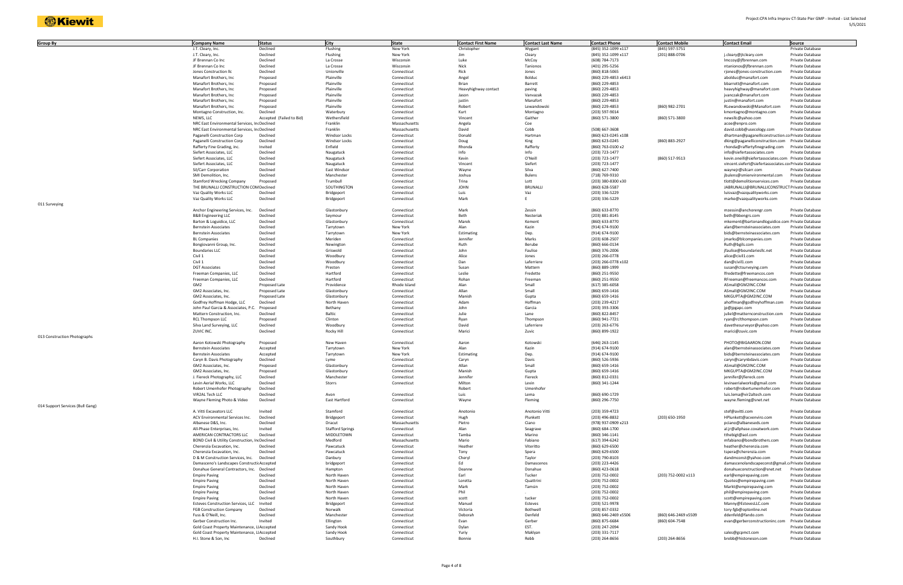| <b>Group By</b>                  | <b>Company Name</b>                            | <b>Status</b>            | <b>City</b>             | <b>State</b>  | <b>Contact First Name</b> | <b>Contact Last Name</b> | <b>Contact Phone</b> | <b>Contact Mobile</b> | <b>Contact Email</b>                                  | Source           |
|----------------------------------|------------------------------------------------|--------------------------|-------------------------|---------------|---------------------------|--------------------------|----------------------|-----------------------|-------------------------------------------------------|------------------|
|                                  |                                                |                          |                         |               |                           |                          |                      |                       |                                                       |                  |
|                                  | J.T. Cleary, Inc.                              | Declined                 | Flushing                | New York      | Christopher               | Wygant                   | (845) 352-1099 x117  | (845) 597-5751        |                                                       | Private Database |
|                                  | J.T. Cleary, Inc.                              | Declined                 | Flushing                | New York      | Jim                       | Cleary                   | (845) 352-1099 x117  | (201) 888-0706        | j.cleary@jtcleary.com                                 | Private Database |
|                                  | JF Brennan Co Inc                              | Declined                 | La Crosse               | Wisconsin     | Luke                      | McCoy                    | (608) 784-7173       |                       | Imccoy@jfbrennan.com                                  | Private Database |
|                                  | JF Brennan Co Inc                              | Declined                 | La Crosse               | Wisconsin     | Nick                      | Tanionos                 | (401) 295-5256       |                       | ntanionos@jfbrennan.com                               | Private Database |
|                                  | Jones Construction IIc                         | Declined                 | Unionville              | Connecticut   | Rick                      | Jones                    | (860) 818-5065       |                       | rjones@jones-construction.com                         | Private Database |
|                                  | Manafort Brothers, Inc                         | Proposed                 | Plainville              | Connecticut   | Angel                     | Bolduc                   | (860) 229-4853 x6413 |                       | abolduc@manafort.com                                  | Private Database |
|                                  |                                                |                          |                         |               |                           |                          |                      |                       |                                                       |                  |
|                                  | Manafort Brothers, Inc                         | Proposed                 | Plainville              | Connecticut   | Brian                     | Barrett                  | (860) 229-4853       |                       | bbarrett@manafort.com                                 | Private Database |
|                                  | Manafort Brothers, Inc                         | Proposed                 | Plainville              | Connecticut   | Heavyhighway contact      | paving                   | (860) 229-4853       |                       | heavyhighway@manafort.com                             | Private Database |
|                                  | Manafort Brothers, Inc                         | Proposed                 | Plainville              | Connecticut   | Jason                     | Vanvazak                 | (860) 229-4853       |                       | jvanczak@manafort.com                                 | Private Database |
|                                  | Manafort Brothers, Inc                         | Proposed                 | Plainville              | Connecticut   | justin                    | Manafort                 | (860) 229-4853       |                       | justin@manafort.com                                   | Private Database |
|                                  | Manafort Brothers, Inc                         | Proposed                 | Plainville              | Connecticut   | Robert                    | Lewandowski              | (860) 229-4853       | (860) 982-2701        | RLewandowski@Manafort.com                             | Private Database |
|                                  |                                                |                          | Waterbury               |               | Kurt                      |                          |                      |                       | kmontagno@montagno.com                                |                  |
|                                  | Montagno Construction, Inc.                    | Declined                 |                         | Connecticut   |                           | Montagno                 | (203) 597-9014       |                       |                                                       | Private Database |
|                                  | NEWS, LLC                                      | Accepted (Failed to Bid) | Wethersfield            | Connecticut   | Vincent                   | Gaither                  | (860) 571-3800       | (860) 571-3800        | newsllc@yahoo.com                                     | Private Database |
|                                  | NRC East Environmental Services, IncDeclined   |                          | Franklin                | Massachusetts | Angela                    | Coe                      |                      |                       | acoe@enpro.com                                        | Private Database |
|                                  | NRC East Environmental Services, IncDeclined   |                          | Franklin                | Massachusetts | David                     | Cobb                     | (508) 667-3608       |                       | david.cobb@usecology.com                              | Private Database |
|                                  | Paganelli Construction Corp                    | Declined                 | Windsor Locks           | Connecticut   | Donald                    | Hartman                  | (860) 623-0245 x108  |                       | dhartman@paganelliconstruction.co Private Database    |                  |
|                                  | Paganelli Construction Corp                    | Declined                 | <b>Windsor Locks</b>    | Connecticut   | Doug                      | King                     | (860) 623-0245       | (860) 883-2927        | dking@paganelliconstruction.com Private Database      |                  |
|                                  |                                                |                          |                         |               |                           |                          |                      |                       |                                                       |                  |
|                                  | Rafferty Fine Grading, inc.                    | Invited                  | Enfield                 | Connecticut   | Rhonda                    | Rafferty                 | (860) 763-0100 x2    |                       | rhonda@raffertyfinegrading.com                        | Private Database |
|                                  | Siefert Associates, LLC                        | Declined                 | Naugatuck               | Connecticut   | Info                      | Info                     | (203) 723-1477       |                       | info@siefertassociates.com                            | Private Database |
|                                  | Siefert Associates, LLC                        | Declined                 | Naugatuck               | Connecticut   | Kevin                     | O'Neill                  | (203) 723-1477       | (860) 517-9513        | kevin.oneill@siefertassociates.com Private Database   |                  |
|                                  | Siefert Associates, LLC                        | Declined                 | Naugatuck               | Connecticut   | Vincent                   | Siefert                  | (203) 723-1477       |                       | vincent.siefert@siefertassociates.corPrivate Database |                  |
|                                  | Sil/Carr Corporation                           | Declined                 | East Windsor            | Connecticut   | Wayne                     | Silva                    | (860) 627-7400       |                       | waynejr@silcarr.com                                   | Private Database |
|                                  |                                                |                          |                         |               |                           |                          |                      |                       |                                                       |                  |
|                                  | SMI Demolition, Inc.                           | Declined                 | Manchester              | Connecticut   | Joshua                    | <b>Bulens</b>            | (718) 769-9310       |                       | jbulens@smienvironmental.com                          | Private Database |
|                                  | Stamford Wrecking Company                      | Proposed                 | Trumbull                | Connecticut   | Trina                     | Lott                     | (203) 380-8300 x30   |                       | tlott@demolitionservices.com                          | Private Database |
|                                  | THE BRUNALLI CONSTRUCTION COM Declined         |                          | SOUTHINGTON             | Connecticut   | <b>JOHN</b>               | <b>BRUNALLI</b>          | (860) 628-5587       |                       | JABRUNALLI@BRUNALLICONSTRUCT Private Database         |                  |
|                                  | Vaz Quality Works LLC                          | Declined                 | Bridgeport              | Connecticut   | Luis                      | Vaz                      | (203) 336-5229       |                       | luisvaz@vazqualityworks.com                           | Private Database |
|                                  | Vaz Quality Works LLC                          | Declined                 |                         | Connecticut   | Mark                      |                          | (203) 336-5229       |                       | marke@vazqualityworks.com                             | Private Database |
|                                  |                                                |                          | Bridgeport              |               |                           |                          |                      |                       |                                                       |                  |
| 011 Surveying                    |                                                |                          |                         |               |                           |                          |                      |                       |                                                       |                  |
|                                  | Anchor Engineering Services, Inc.              | Declined                 | Glastonbury             | Connecticut   | Mark                      | Zessin                   | (860) 633-8770       |                       | mzessin@anchorengr.com                                | Private Database |
|                                  | <b>B&amp;B Engineering LLC</b>                 | Declined                 | Seymour                 | Connecticut   | Beth                      | Nesteriak                | (203) 881-8145       |                       | beth@bbengrs.com                                      | Private Database |
|                                  | Barton & Loguidice, LLC                        | Declined                 | Glastonbury             | Connecticut   | Marek                     | Kement                   | (860) 633-8770       |                       | mkement@bartonandloguidice.com Private Database       |                  |
|                                  |                                                |                          |                         |               |                           |                          |                      |                       |                                                       |                  |
|                                  | <b>Bernstein Associates</b>                    | Declined                 | Tarrytown               | New York      | Alan                      | Kazin                    | (914) 674-9100       |                       | alan@bernsteinassociates.com                          | Private Database |
|                                  | <b>Bernstein Associates</b>                    | Declined                 | Tarrytown               | New York      | Estimating                | Dep.                     | (914) 674-9100       |                       | bids@bernsteinassociates.com                          | Private Database |
|                                  | <b>BL Companies</b>                            | Declined                 | Meriden                 | Connecticut   | Jennifer                  | Marks                    | (203) 608-2507       |                       | jmarks@blcompanies.com                                | Private Database |
|                                  | Bongiovanni Group, Inc.                        | Declined                 | Newington               | Connecticut   | Ruth                      | Berube                   | (860) 666-0134       |                       | Ruth@bgils.com                                        | Private Database |
|                                  |                                                |                          |                         |               | John                      |                          |                      |                       |                                                       |                  |
|                                  | <b>Boundaries LLC</b>                          | Declined                 | Griswold                | Connecticut   |                           | Faulise                  | (860) 376-2006       |                       | jfaulise@boundariesllc.net                            | Private Database |
|                                  | Civil 1                                        | Declined                 | Woodbury                | Connecticut   | Alice                     | Jones                    | (203) 266-0778       |                       | alice@civil1.com                                      | Private Database |
|                                  | Civil 1                                        | Declined                 | Woodbury                | Connecticut   | Dan                       | Laferriere               | (203) 266-0778 x102  |                       | dan@civil1.com                                        | Private Database |
|                                  | <b>DGT Associates</b>                          | Declined                 | Preston                 | Connecticut   | Susan                     | Mattern                  | (860) 889-1999       |                       | susan@ctsurveying.com                                 | Private Database |
|                                  | Freeman Companies, LLC                         | Declined                 | Hartford                | Connecticut   | Leslie                    | Fredette                 | (860) 251-9550       |                       | lfredette@freemancos.com                              | Private Database |
|                                  |                                                |                          |                         |               |                           |                          |                      |                       |                                                       |                  |
|                                  | Freeman Companies, LLC                         | Declined                 | Hartford                | Connecticut   | Rohan                     | Freeman                  | (860) 251-9550       |                       | RFreeman@freemancos.com                               | Private Database |
|                                  | GM2                                            | Proposed Late            | Providence              | Rhode Island  | Alan                      | Small                    | $(617)$ 385-6058     |                       | ASmall@GM2INC.COM                                     | Private Database |
|                                  | GM2 Associates, Inc.                           | Proposed Late            | Glastonbury             | Connecticut   | Allan                     | Small                    | (860) 659-1416       |                       | ASmall@GM2INC.COM                                     | Private Database |
|                                  | GM2 Associates, Inc.                           | Proposed Late            | Glastonbury             | Connecticut   | Manish                    | Gupta                    | (860) 659-1416       |                       | MKGUPTA@GM2INC.COM                                    | Private Database |
|                                  | Godfrey Hoffman Hodge, LLC                     | Declined                 | North Haven             | Connecticut   | Adam                      | Hoffman                  | (203) 239-4217       |                       | ahoffman@godfreyhoffman.com                           | Private Database |
|                                  |                                                |                          |                         |               |                           |                          |                      |                       |                                                       |                  |
|                                  | John Paul Garcia & Associates, P.C.            | Proposed                 | Bethany                 | Connecticut   | John                      | Garcia                   | (203) 393-3306       |                       | jp@jpgapc.com                                         | Private Database |
|                                  | Mattern Construction, Inc.                     | Declined                 | Baltic                  | Connecticut   | Julie                     | Lane                     | (860) 822-8457       |                       | juliel@matternconstruction.com                        | Private Database |
|                                  | <b>RCL Thompson LLC</b>                        | Proposed                 | Clinton                 | Connecticut   | Ryan                      | Thompson                 | (860) 941-7721       |                       | ryan@rclthompson.com                                  | Private Database |
|                                  | Silva Land Surveying, LLC                      | Declined                 | Woodbury                | Connecticut   | David                     | Laferriere               | (203) 263-6776       |                       | davethesurveyor@yahoo.com                             | Private Database |
|                                  |                                                |                          |                         |               | Marici                    |                          |                      |                       |                                                       |                  |
|                                  | ZUVIC INC.                                     | Declined                 | Rocky Hill              | Connecticut   |                           | Zuvic                    | (860) 899-1922       |                       | marici@zuvic.com                                      | Private Database |
| 013 Construction Photographs     |                                                |                          |                         |               |                           |                          |                      |                       |                                                       |                  |
|                                  | Aaron Kotowski Photography                     | Proposed                 | New Haven               | Connecticut   | Aaron                     | Kotowski                 | (646) 263-1145       |                       | PHOTO@BIGAARON.COM                                    | Private Database |
|                                  | <b>Bernstein Associates</b>                    | Accepted                 | Tarrytown               | New York      | Alan                      | Kazin                    | (914) 674-9100       |                       | alan@bernsteinassociates.com                          | Private Database |
|                                  | <b>Bernstein Associates</b>                    | Accepted                 | Tarrytown               | New York      | Estimating                | Dep.                     | (914) 674-9100       |                       | bids@bernsteinassociates.com                          | Private Database |
|                                  |                                                |                          |                         |               |                           |                          |                      |                       |                                                       |                  |
|                                  | Caryn B. Davis Photography                     | Declined                 | Lyme                    | Connecticut   | Caryn                     | Davis                    | (860) 526-5936       |                       | caryn@carynbdavis.com                                 | Private Database |
|                                  | GM2 Associates, Inc.                           | Proposed                 | Glastonbury             | Connecticut   | Allan                     | Small                    | (860) 659-1416       |                       | ASmall@GM2INC.COM                                     | Private Database |
|                                  | GM2 Associates, Inc.                           | Proposed                 | Glastonbury             | Connecticut   | Manish                    | Gupta                    | (860) 659-1416       |                       | MKGUPTA@GM2INC.COM                                    | Private Database |
|                                  | J. Fiereck Photography, LLC                    | Declined                 | Manchester              | Connecticut   | Jennifer                  | Fiereck                  | (860) 812-0331       |                       | jennifer@jfiereck.com                                 | Private Database |
|                                  | Levin Aerial Works, LLC                        | Declined                 | Storrs                  | Connecticut   | Milton                    | Levin                    | (860) 341-1244       |                       | levinaerialworks@gmail.com                            | Private Database |
|                                  |                                                |                          |                         |               |                           |                          |                      |                       |                                                       |                  |
|                                  | Robert Umenhofer Photography                   | Declined                 |                         |               | Robert                    | Umenhofer                |                      |                       | robert@robertumenhofer.com                            | Private Database |
|                                  | VIR2AL Tech LLC                                | Declined                 | Avon                    | Connecticut   | Luis                      | Lema                     | (860) 690-1729       |                       | luis.lema@vir2altech.com                              | Private Database |
|                                  | Wayne Fleming Photo & Video                    | Declined                 | East Hartford           | Connecticut   | Wayne                     | Fleming                  | (860) 296-7750       |                       | wayne.fleming@snet.net                                | Private Database |
| 014 Support Services (Bull Gang) |                                                |                          |                         |               |                           |                          |                      |                       |                                                       |                  |
|                                  | A. Vitti Excavators LLC                        | Invited                  | Stamford                | Connecticut   | Anotonio                  | Anotonio Vitti           | (203) 359-4723       |                       | stef@avitti.com                                       | Private Database |
|                                  |                                                |                          |                         |               |                           |                          |                      |                       |                                                       |                  |
|                                  | ACV Environmental Services Inc.                | Declined                 | Bridgeport              | Connecticut   | Hugh                      | Plunkett                 | (203) 496-8832       | (203) 650-1950        | HPlunkett@acvenviro.com                               | Private Database |
|                                  | Albanese D&S, Inc.                             | Declined                 | Dracut                  | Massachusetts | Pietro                    | Ciano                    | (978) 937-0909 x213  |                       | pciano@albaneseds.com                                 | Private Database |
|                                  | All-Phase Enterprises, Inc.                    | Invited                  | <b>Stafford Springs</b> | Connecticut   | Alan                      | Seagrave                 | (860) 684-1700       |                       | al.jr@allphase.coxatwork.com                          | Private Database |
|                                  | AMERICAN CONTRACTORS LLC                       | Declined                 | MIDDLETOWN              | Connecticut   | Tamba                     | Marino                   | (860) 346-1141       |                       | tthebigt@aol.com                                      | Private Database |
|                                  | BOND Civil & Utility Construction, IncDeclined |                          | Medford                 | Massachusetts | Mario                     | Fabiano                  | (617) 394-6242       |                       | mfabiano@bondbrothers.com                             | Private Database |
|                                  |                                                |                          |                         |               |                           |                          |                      |                       |                                                       |                  |
|                                  | Cherenzia Excavation, Inc.                     | Declined                 | Pawcatuck               | Connecticut   | Heather                   | Viteritto                | (860) 629-6500       |                       | heather@cherenzia.com                                 | Private Database |
|                                  | Cherenzia Excavation, Inc.                     | Declined                 | Pawcatuck               | Connecticut   | Tony                      | Spera                    | (860) 629-6500       |                       | tspera@cherenzia.com                                  | Private Database |
|                                  | D & M Construction Services, Inc.              | Declined                 | Danbury                 | Connecticut   | Cheryl                    | Taylor                   | (203) 790-8103       |                       | dandmconst@yahoo.com                                  | Private Database |
|                                  | Damasceno's Landscapes Constructic Accepted    |                          | bridgeport              | Connecticut   | Ed                        | Damascenos               | (203) 223-4426       |                       | damascenolandscapeconst@gmail.crPrivate Database      |                  |
|                                  | Donahue General Contractors, Inc. Declined     |                          | Hampton                 | Connecticut   | Deanne                    | Donahue                  | (860) 423-0618       |                       | donahueconstruction@snet.net                          | Private Database |
|                                  |                                                |                          |                         |               |                           |                          |                      |                       |                                                       |                  |
|                                  | <b>Empire Paving</b>                           | Declined                 | North Haven             | Connecticut   | Earl                      | Tucker                   | (203) 752-0002       | (203) 752-0002 x113   | earl@empirepaving.com                                 | Private Database |
|                                  | <b>Empire Paving</b>                           | Declined                 | North Haven             | Connecticut   | Loretta                   | Quattrini                | (203) 752-0002       |                       | Quotes@empirepaving.com                               | Private Database |
|                                  | <b>Empire Paving</b>                           | Declined                 | North Haven             | Connecticut   | Mark                      | Tamsin                   | (203) 752-0002       |                       | Markt@empirepaving.com                                | Private Database |
|                                  | <b>Empire Paving</b>                           | Declined                 | North Haven             | Connecticut   | Phil                      |                          | (203) 752-0002       |                       | phil@empirepaving.com                                 | Private Database |
|                                  |                                                |                          |                         |               |                           |                          |                      |                       |                                                       |                  |
|                                  | <b>Empire Paving</b>                           | Declined                 | North Haven             | Connecticut   | scott                     | tucker                   | (203) 752-0002       |                       | scott@empirepaving.com                                | Private Database |
|                                  | <b>Esteves Construction Services, LLC</b>      | Invited                  | Bridgeport              | Connecticut   | Manuel                    | Esteves                  | (203) 521-9978       |                       | Manny@EstevesLLC.com                                  | Private Database |
|                                  | <b>FGB Construction Company</b>                | Declined                 | Norwalk                 | Connecticut   | Victoria                  | Bothwell                 | (203) 857-0332       |                       | tory-fgb@optonline.net                                | Private Database |
|                                  | Fuss & O'Neill, Inc.                           | Declined                 | Manchester              | Connecticut   | Deborah                   | Denfeld                  | (860) 646-2469 x5506 | (860) 646-2469 x5509  | ddenfeld@fando.com                                    | Private Database |
|                                  | Gerber Construction Inc.                       |                          |                         |               |                           | Gerber                   |                      |                       |                                                       |                  |
|                                  |                                                | Invited                  | Ellington               | Connecticut   | Evan                      |                          | (860) 875-6684       | (860) 604-7548        | evan@gerberconstructioninc.com                        | Private Database |
|                                  | Gold Coast Property Maintenance, LIAccepted    |                          | Sandy Hook              | Connecticut   | Dylan                     | EST.                     | (203) 247-2094       |                       |                                                       | Private Database |
|                                  | Gold Coast Property Maintenance, LIAccepted    |                          | Sandy Hook              | Connecticut   | Yuriy                     | Maklyan                  | (203) 331-7117       |                       | sales@gcpmct.com                                      | Private Database |
|                                  | H.I. Stone & Son, Inc                          | Declined                 | Southbury               | Connecticut   | Bonnie                    | Rebb                     | (203) 264-8656       | (203) 264-8656        | brebb@histoneson.com                                  | Private Database |
|                                  |                                                |                          |                         |               |                           |                          |                      |                       |                                                       |                  |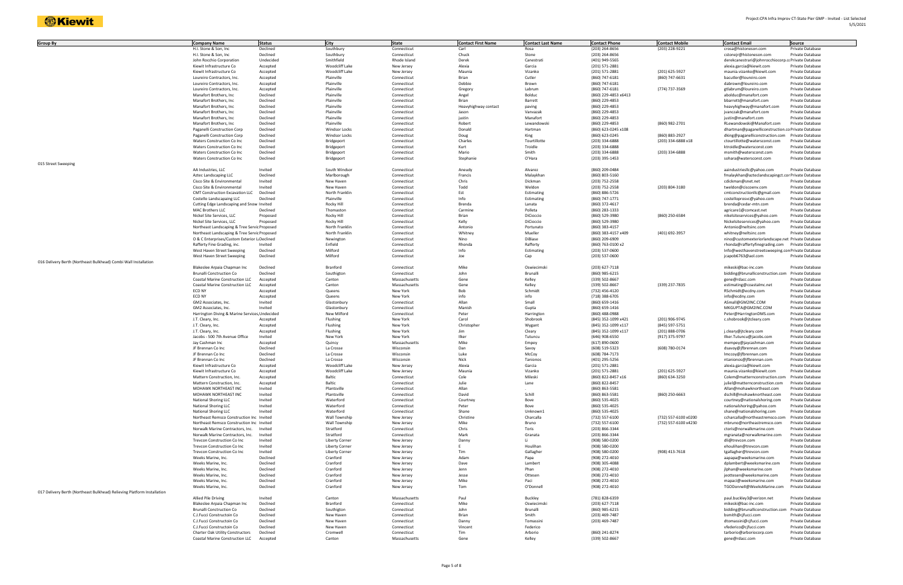| <b>Group By</b>                                                         | <b>Company Name</b>                            | <b>Status</b>      | <b>City</b>           | <b>State</b>               | <b>Contact First Name</b> | <b>Contact Last Name</b> | <b>Contact Phone</b> | <b>Contact Mobile</b> | <b>Contact Email</b>                                        | <b>Source</b>    |
|-------------------------------------------------------------------------|------------------------------------------------|--------------------|-----------------------|----------------------------|---------------------------|--------------------------|----------------------|-----------------------|-------------------------------------------------------------|------------------|
|                                                                         | H.I. Stone & Son, Inc.                         | Declined           | Southbury             | Connecticut                | Carl                      | Rosa                     | (203) 264-8656       | (203) 228-9221        | crosa@histoneson.com                                        | Private Database |
|                                                                         | H.I. Stone & Son, Inc.                         | Declined           | Southbury             | Connecticut                | Chuck                     | Stone                    | (203) 264-8656       |                       | cstonejr@histoneson.com                                     | Private Database |
|                                                                         | John Rocchio Corporation                       | Undecided          | Smithfield            | Rhode Island               | Derek                     | Canestrati               | (401) 949-5565       |                       | derekcanestrari@johnrocchiocorp.ccPrivateDatabase           |                  |
|                                                                         | Kiewit Infrastructure Co                       | Accepted           | Woodcliff Lake        | New Jersey                 | Alexia                    | Garcia                   | (201) 571-2881       |                       | alexia.garcia@kiewit.com                                    | Private Database |
|                                                                         | Kiewit Infrastructure Co                       | Accepted           | Woodcliff Lake        | New Jersey                 | Maunia                    | Vizanko                  | (201) 571-2881       | (201) 625-5927        | maunia.vizanko@kiewit.com                                   | Private Database |
|                                                                         | Loureiro Contractors, Inc.                     | Accepted           | Plainville            | Connecticut                | Brian                     | Cutler                   | (860) 747-6181       | (860) 747-6631        | bacutler@loureiro.com                                       | Private Database |
|                                                                         | Loureiro Contractors, Inc.                     | Accepted           | Plainville            | Connecticut                | Debbie                    | Brown                    | (860) 747-6181       |                       | dabrown@loureiro.com                                        | Private Database |
|                                                                         | Loureiro Contractors, Inc.                     | Accepted           | Plainville            | Connecticut                | Gregory                   | Labrum                   | (860) 747-6181       | (774) 737-3569        | gtlabrum@loureiro.com                                       | Private Database |
|                                                                         | Manafort Brothers, Inc.                        | Declined           | Plainville            | Connecticut                | Angel                     | Bolduc                   | (860) 229-4853 x6413 |                       | abolduc@manafort.com                                        | Private Database |
|                                                                         | Manafort Brothers, Inc.                        | Declined           | Plainville            | Connecticut                | Brian                     | Barrett                  | (860) 229-4853       |                       | bbarrett@manafort.com                                       | Private Database |
|                                                                         |                                                | Declined           | Plainville            |                            |                           |                          |                      |                       |                                                             |                  |
|                                                                         | Manafort Brothers, Inc.                        |                    |                       | Connecticut                | Heavyhighway contact      | paving                   | (860) 229-4853       |                       | heavyhighway@manafort.com                                   | Private Database |
|                                                                         | Manafort Brothers, Inc                         | Declined           | Plainville            | Connecticut                | Jason                     | Vanvazak                 | (860) 229-4853       |                       | jvanczak@manafort.com                                       | Private Database |
|                                                                         | Manafort Brothers, Inc.                        | Declined           | Plainville            | Connecticut                | justin                    | Manafort                 | (860) 229-4853       |                       | justin@manafort.com                                         | Private Database |
|                                                                         | Manafort Brothers, Inc.                        | Declined           | Plainville            | Connecticut                | Robert                    | Lewandowski              | (860) 229-4853       | (860) 982-2701        | RLewandowski@Manafort.com                                   | Private Database |
|                                                                         | Paganelli Construction Corp                    | Declined           | <b>Windsor Locks</b>  | Connecticut                | Donald                    | Hartman                  | (860) 623-0245 x108  |                       | dhartman@paganelliconstruction.co Private Database          |                  |
|                                                                         | Paganelli Construction Corp                    | Declined           | <b>Windsor Locks</b>  | Connecticut                | Doug                      | King                     | (860) 623-0245       | (860) 883-2927        | dking@paganelliconstruction.com                             | Private Database |
|                                                                         | Waters Construction Co Inc                     | Declined           | Bridgeport            | Connecticut                | Charles                   | Tourtillotte             | (203) 334-6888       | (203) 334-6888 x18    | ctourtillotte@watersconst.com                               | Private Database |
|                                                                         | Waters Construction Co Inc                     | Declined           | Bridgeport            | Connecticut                | Kurt                      | Troidle                  | (203) 334-6888       |                       | ktroidle@watersconst.com                                    | Private Database |
|                                                                         | Waters Construction Co Inc                     | Declined           | Bridgeport            | Connecticut                | Mario                     | Smith                    | (203) 334-6888       | (203) 334-6888        | msmith@watersconst.com                                      | Private Database |
|                                                                         | Waters Construction Co Inc                     | Declined           | Bridgeport            | Connecticut                | Stephanie                 | O'Hara                   | (203) 395-1453       |                       | sohara@watersconst.com                                      | Private Database |
| 015 Street Sweeping                                                     |                                                |                    |                       |                            |                           |                          |                      |                       |                                                             |                  |
|                                                                         | AA Industries, LLC                             | Invited            | South Windsor         | Connecticut                | Aneudy                    | Alvarez                  | (860) 209-0484       |                       | aaindustriesllc@yahoo.com                                   | Private Database |
|                                                                         | Aztec Landscaping LLC                          | Declined           | Marlborough           | Connecticut                | Francis                   | Malaykhan                | (860) 803-5160       |                       | fmalaykhan@azteclandscapingct.cor Private Database          |                  |
|                                                                         | Cisco Site & Environmental                     | Invited            | New Haven             | Connecticut                | Chris                     | Dickman                  | (203) 752-2558       |                       | cdickman@snet.net                                           | Private Database |
|                                                                         | Cisco Site & Environmental                     | Invited            | New Haven             | Connecticut                | Todd                      | Weldon                   | (203) 752-2558       | (203) 804-3180        | tweldon@ciscoenv.com                                        | Private Database |
|                                                                         | <b>CMT Construction Excavation LLC</b>         | Declined           | North Franklin        | Connecticut                | Est                       | Estimating               | (860) 886-5726       |                       | cmtconstructionllc@gmail.com                                | Private Database |
|                                                                         | Costello Landscapaing LLC                      | Declined           | Plainville            | Connecticut                | Info                      | Estimating               | (860) 747-1771       |                       | costelloprosvc@yahoo.com                                    | Private Database |
|                                                                         | Cutting Edge Landscaping and Snow Invited      |                    | Rocky Hill            | Connecticut                | Brenda                    | Lanata                   | (860) 372-4617       |                       | brenda@cedar-mtn.com                                        | Private Database |
|                                                                         | <b>MAC Brothers LLC</b>                        | Declined           | Thomastor             | Connecticut                | Carmine                   | Polleta                  | (860) 283-1333       |                       | agricare1@comcast.net                                       | Private Database |
|                                                                         | Nickel Site Services, LLC                      | Proposed           | Rocky Hill            | Connecticut                | Brian                     | DiCioccio                | (860) 529-3980       | (860) 250-6584        | nikelsiteservices@yahoo.com                                 | Private Database |
|                                                                         | Nickel Site Services, LLC                      | Proposed           | Rocky Hill            | Connecticut                | Kelly                     | DiCioccio                | (860) 529-3980       |                       | Nickelsiteservices@yahoo.com                                | Private Database |
|                                                                         | Northeast Landscaping & Tree Servic Proposed   |                    | North Franklin        | Connecticut                | Antonio                   | Portunato                | (860) 383-4157       |                       | Antonio@neltsinc.com                                        | Private Database |
|                                                                         | Northeast Landscaping & Tree Servic Proposed   |                    | North Franklin        | Connecticut                | Whitney                   | Mueller                  | (860) 383-4157 x409  | (401) 692-3957        | whitney@neltsinc.com                                        | Private Database |
|                                                                         | O & C Enterprises/Custom Exterior L: Declined  |                    | Newington             | Connecticut                | Nino                      | DiBiase                  | (860) 209-6909       |                       | nino@customexteriorlandscape.net Private Database           |                  |
|                                                                         | Rafferty Fine Grading, inc.                    | Invited            | Enfield               | Connecticut                | Rhonda                    | Rafferty                 | (860) 763-0100 x2    |                       | rhonda@raffertyfinegrading.com                              | Private Database |
|                                                                         | West Haven Street Sweeping                     | Declined           | Milford               | Connecticut                | Info                      | Estimating               | (203) 537-0600       |                       | Info@westhavenstreetsweeping.con Private Database           |                  |
|                                                                         | West Haven Street Sweeping                     | Declined           | Milford               | Connecticut                | Joe                       | Cap                      | (203) 537-0600       |                       | jcapob6763@aol.com                                          | Private Database |
| 016 Delivery Berth (Northeast Bulkhead) Combi Wall Installation         |                                                |                    |                       |                            |                           |                          |                      |                       |                                                             |                  |
|                                                                         |                                                | Declined           | Branford              | Connecticut                | Mike                      | Oswiecimsk               | (203) 627-7118       |                       |                                                             | Private Database |
|                                                                         | Blakeslee Arpaia Chapman Inc                   |                    |                       |                            |                           |                          |                      |                       | mikeski@bac-inc.com                                         |                  |
|                                                                         | <b>Brunalli Conctruction Co</b>                | Declined           | Southigton            | Connecticut                | John                      | Brunalli                 | (860) 985-6215       |                       | bidding@brunalliconstruction.com                            | Private Database |
|                                                                         | Coastal Marine Construction LLC                | Accepted           | Canton                | Massachusetts              | Gene                      | Kelley                   | (339) 502-8667       |                       | gene@rdacc.com                                              | Private Database |
|                                                                         | Coastal Marine Construction LLC                | Accepted           | Canton                | Massachusetts              | Gene                      | Kelley                   | (339) 502-8667       | (339) 237-7835        | estimating@coastalmc.net                                    | Private Database |
|                                                                         | ECD NY                                         | Accepted           | Queens                | New York                   | Bob                       | Schmidt                  | (732) 456-4120       |                       | RSchmidt@ecdny.com                                          | Private Database |
|                                                                         | ECD NY                                         | Accepted           | Queens                | New York                   | info                      | info                     | (718) 388-6705       |                       | info@ecdny.com                                              | Private Database |
|                                                                         | GM2 Associates, Inc.                           | Invited            | Glastonbury           | Connecticut                | Allan                     | Small                    | (860) 659-1416       |                       | ASmall@GM2INC.COM                                           | Private Database |
|                                                                         | GM2 Associates, Inc.                           | Invited            | Glastonbury           | Connecticut                | Manish                    | Gupta                    | (860) 659-1416       |                       | MKGUPTA@GM2INC.COM                                          | Private Database |
|                                                                         | Harrington Diving & Marine Services, Undecided |                    | New Milford           | Connecticut                | Peter                     | Harrington               | (860) 488-0988       |                       | Peter@HarringtonDMS.com                                     | Private Database |
|                                                                         | J.T. Cleary, Inc.                              | Accepted           | Flushing              | New York                   | Carol                     | Shobrook                 | (845) 352-1099 x421  | (201) 906-9745        | c.shobrook@jtcleary.com                                     | Private Database |
|                                                                         | J.T. Cleary, Inc.                              | Accepted           | Flushing              | New York                   | Christopher               | Wygant                   | (845) 352-1099 x117  | (845) 597-5751        |                                                             | Private Database |
|                                                                         | J.T. Cleary, Inc.                              | Accepted           | Flushing              | New York                   | Jim                       | Cleary                   | (845) 352-1099 x117  | (201) 888-0706        | j.cleary@jtcleary.com                                       | Private Database |
|                                                                         | Jacobs - 500 7th Avenue Office                 | Invited            | New York              | New York                   | Ilker                     | Tutuncu                  | (646) 908-6550       | (917) 375-9797        | Ilker.Tutuncu@jacobs.com                                    | Private Database |
|                                                                         | Jay Cashman Inc                                | Accepted           | Quincy                | Massachusetts              | Mike                      | Empey                    | (617) 890-0600       |                       | mempey@jaycashman.com                                       | Private Database |
|                                                                         | JF Brennan Co Inc                              | Declined           | La Crosse             | Wisconsin                  | Dan                       | Savoy                    | (608) 519-5323       | (608) 780-0174        | dsavoy@jfbrennan.com                                        | Private Database |
|                                                                         | JF Brennan Co Inc                              | Declined           | La Crosse             | Wisconsin                  | Luke                      | McCoy                    | (608) 784-7173       |                       | Imccoy@jfbrennan.com                                        | Private Database |
|                                                                         | JF Brennan Co Inc                              | Declined           | La Crosse             | Wisconsin                  | Nick                      | Tanionos                 | (401) 295-5256       |                       | ntanionos@jfbrennan.com                                     | Private Database |
|                                                                         | Kiewit Infrastructure Co                       | Accepted           | Woodcliff Lake        | New Jersey                 | Alexia                    | Garcia                   | (201) 571-2881       |                       | alexia.garcia@kiewit.com                                    | Private Database |
|                                                                         | Kiewit Infrastructure Co                       | Accepted           | Woodcliff Lake        | New Jersey                 | Maunia                    | Vizanko                  | (201) 571-2881       | (201) 625-5927        | maunia.vizanko@kiewit.com                                   | Private Database |
|                                                                         | Mattern Construction, Inc.                     | Accepted           | Baltic                | Connecticut                | Cole                      | Mileski                  | (860) 822-8457 x16   | (860) 634-3250        | Colem@matternconstruction.com Private Database              |                  |
|                                                                         | Mattern Construction, Inc.                     | Accepted           | Baltic                | Connecticut                | Julie                     | Lane                     | (860) 822-8457       |                       | juliel@matternconstruction.com                              | Private Database |
|                                                                         | MOHAWK NORTHEAST INC                           | Invited            | Plantsville           | Connecticut                | Allan                     |                          | (860) 863-5581       |                       | Allan@mohawknortheast.com                                   | Private Database |
|                                                                         | MOHAWK NORTHEAST INC                           | Invited            | Plantsville           | Connecticut                | David                     | Schill                   | (860) 863-5581       | (860) 250-6663        | dschill@mohawknortheast.com                                 | Private Database |
|                                                                         | National Shoring LLC                           | Invited            | Waterford             | Connecticut                | Courtney                  | Bove                     | (860) 535-4025       |                       | courtney@nationalshoring.com                                | Private Database |
|                                                                         |                                                |                    | Waterford             |                            |                           |                          | (860) 535-4025       |                       |                                                             | Private Database |
|                                                                         | National Shoring LLC<br>National Shoring LLC   | Invited<br>Invited | Waterford             | Connecticut<br>Connecticut | Peter<br>Shane            | Bove<br>Unknown1         | (860) 535-4025       |                       | nationalshoring@yahoo.com                                   | Private Database |
|                                                                         | Northeast Remsco Construction Inc Invited      |                    | Wall Township         |                            | Christine                 | Charcalla                |                      | (732) 557-6100 x0200  | shane@nationalshoring.com<br>ccharcalla@northeastremsco.com | Private Database |
|                                                                         | Northeast Remsco Construction Inc Invited      |                    | Wall Township         | New Jersey                 | Mike                      | Bruno                    | (732) 557-6100       | (732) 557-6100 x4230  |                                                             | Private Database |
|                                                                         |                                                |                    |                       | New Jersey                 |                           |                          | (732) 557-6100       |                       | mbruno@northeastremsco.com                                  |                  |
|                                                                         | Norwalk Marine Contractors, Inc. Invited       |                    | Stratford             | Connecticut                | Chris                     | Toris                    | (203) 866-3344       |                       | ctoris@norwalkmarine.com                                    | Private Database |
|                                                                         | Norwalk Marine Contractors, Inc.               | Invited            | Stratford             | Connecticut                | Mark                      | Granata                  | (203) 866-3344       |                       | mgranata@norwalkmarine.com                                  | Private Database |
|                                                                         | Trevcon Construction Co Inc                    | Invited            | Liberty Corner        | New Jersey                 | Danny                     | - Li                     | (908) 580-0200       |                       | dli@trevcon.com                                             | Private Database |
|                                                                         | <b>Trevcon Construction Co Inc</b>             | Invited            | <b>Liberty Corner</b> | New Jersey                 |                           | Houlihan                 | (908) 580-0200       |                       | ehoulihan@trevcon.com                                       | Private Database |
|                                                                         | Trevcon Construction Co Inc                    | Invited            | <b>Liberty Corner</b> | New Jersey                 | Tim                       | Gallagher                | (908) 580-0200       | (908) 413-7618        | tgallagher@trevcon.com                                      | Private Database |
|                                                                         | Weeks Marine, Inc.                             | Declined           | Cranford              | New Jersey                 | Adam                      | Papa                     | (908) 272-4010       |                       | aapapa@weeksmarine.com                                      | Private Database |
|                                                                         | Weeks Marine, Inc.                             | Declined           | Cranford              | New Jersey                 | Dave                      | Lambert                  | (908) 305-4088       |                       | dplambert@weeksmarine.com                                   | Private Database |
|                                                                         | Weeks Marine, Inc.                             | Declined           | Cranford              | New Jersey                 | Jenn                      | Phan                     | (908) 272-4010       |                       | jlphan@weeksmarine.com                                      | Private Database |
|                                                                         | Weeks Marine, Inc.                             | Declined           | Cranford              | New Jersey                 | Jesse                     | Ottesen                  | (908) 272-4010       |                       | jeottesen@weeksmarine.com                                   | Private Database |
|                                                                         | Weeks Marine, Inc.                             | Declined           | Cranford              | New Jersey                 | Mike                      | Paci                     | (908) 272-4010       |                       | mapaci@weeksmarine.com                                      | Private Database |
|                                                                         | Weeks Marine, Inc.                             | Declined           | Cranford              | New Jersey                 | Tom                       | O'Donnell                | (908) 272-4010       |                       | TGODonnell@WeeksMarine.com                                  | Private Database |
| 017 Delivery Berth (Northeast Bulkhead) Relieving Platform Installation |                                                |                    |                       |                            |                           |                          |                      |                       |                                                             |                  |
|                                                                         | Allied Pile Driving                            | Invited            | Canton                | Massachusetts              | Paul                      | Buckley                  | (781) 828-6359       |                       | paul.buckley3@verizon.net                                   | Private Database |
|                                                                         | Blakeslee Arpaia Chapman Inc                   | Declined           | Branford              | Connecticut                | Mike                      | Oswiecimski              | (203) 627-7118       |                       | mikeski@bac-inc.com                                         | Private Database |
|                                                                         | <b>Brunalli Conctruction Co</b>                | Declined           | Southigton            | Connecticut                | John                      | Brunalli                 | (860) 985-6215       |                       | bidding@brunalliconstruction.com Private Database           |                  |
|                                                                         | C.J.Fucci Constructoin Co                      | Declined           | New Haven             | Connecticut                | Brian                     | Smith                    | (203) 469-7487       |                       | bsmith@cjfucci.com                                          | Private Database |
|                                                                         | C.J.Fucci Constructoin Co                      | Declined           | New Haven             | Connecticut                | Danny                     | Tomassini                | (203) 469-7487       |                       | dtomassini@cjfucci.com                                      | Private Database |
|                                                                         | C.J.Fucci Constructoin Co                      | Declined           | New Haven             | Connecticut                | Vincent                   | Federico                 |                      |                       | vfederico@cjfucci.com                                       | Private Database |
|                                                                         | Charter Oak Utility Constructors               | Declined           | Cromwell              | Connecticut                | Tim                       | Arborio                  | (860) 241-8274       |                       | tarborio@arboriocorp.com                                    | Private Database |
|                                                                         | Coastal Marine Construction LLC                | Accepted           | Canton                | Massachusetts              | Gene                      | Kelley                   | (339) 502-8667       |                       | gene@rdacc.com                                              | Private Database |
|                                                                         |                                                |                    |                       |                            |                           |                          |                      |                       |                                                             |                  |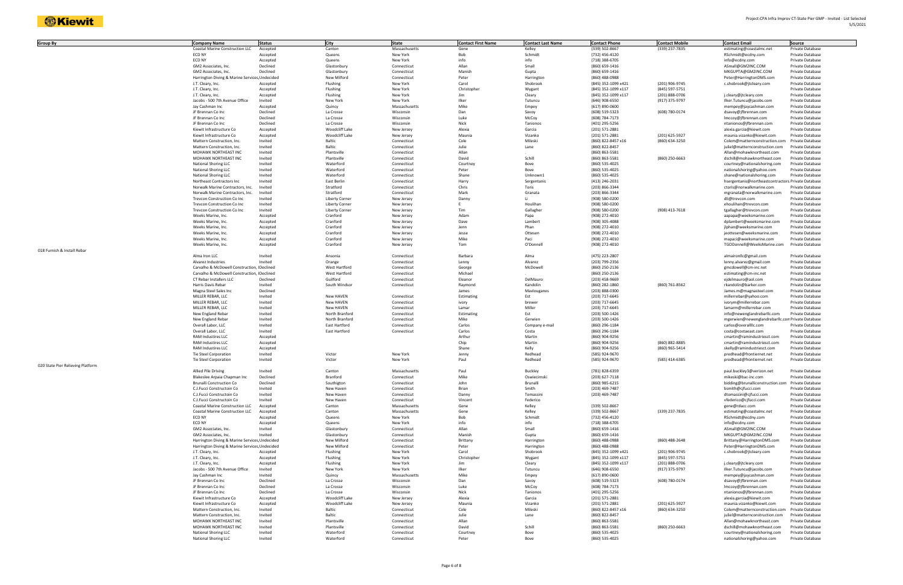| Group By                          | <b>Company Name</b>                           | <b>Status</b> | City                  | <b>State</b>  | <b>Contact First Name</b> | <b>Contact Last Name</b> | <b>Contact Phone</b> | <b>Contact Mobile</b> | <b>Contact Email</b>                               | Source                  |
|-----------------------------------|-----------------------------------------------|---------------|-----------------------|---------------|---------------------------|--------------------------|----------------------|-----------------------|----------------------------------------------------|-------------------------|
|                                   | <b>Coastal Marine Construction LLC</b>        | Accepted      | Canton                | Massachusetts | Gene                      | Kelley                   | (339) 502-8667       | (339) 237-7835        | estimating@coastalmc.net                           | Private Database        |
|                                   | ECD NY                                        | Accepted      | Queens                | New York      | Bob                       | Schmidt                  | (732) 456-4120       |                       | RSchmidt@ecdny.com                                 | Private Database        |
|                                   | ECD NY                                        | Accepted      | Queens                | New York      | info                      | info                     | (718) 388-6705       |                       | info@ecdny.com                                     | Private Database        |
|                                   | GM2 Associates, Inc.                          | Declined      | Glastonbury           | Connecticut   | Allan                     | Small                    | (860) 659-1416       |                       | ASmall@GM2INC.COM                                  | Private Database        |
|                                   | GM2 Associates, Inc.                          | Declined      | Glastonbury           | Connecticut   | Manish                    | Gupta                    | (860) 659-1416       |                       | MKGUPTA@GM2INC.COM                                 | Private Database        |
|                                   | Harrington Diving & Marine Services Undecided |               | New Milford           | Connecticut   | Peter                     | Harrington               | (860) 488-0988       |                       | Peter@HarringtonDMS.com                            | Private Database        |
|                                   | J.T. Cleary, Inc.                             | Accepted      | Flushing              | New York      | Carol                     | Shobrook                 | (845) 352-1099 x421  | (201) 906-9745        | c.shobrook@jtcleary.com                            | Private Database        |
|                                   | J.T. Cleary, Inc.                             | Accepted      | Flushing              | New York      | Christopher               | Wygant                   | (845) 352-1099 x117  | (845) 597-5751        |                                                    | Private Database        |
|                                   | J.T. Cleary, Inc.                             | Accepted      | Flushing              | New York      | Jim                       | Cleary                   | (845) 352-1099 x117  | (201) 888-0706        | j.cleary@jtcleary.com                              | Private Database        |
|                                   | Jacobs - 500 7th Avenue Office                | Invited       | New York              | New York      | Ilker                     | Tutuncu                  | (646) 908-6550       | (917) 375-9797        | Ilker.Tutuncu@jacobs.com                           | Private Database        |
|                                   | Jay Cashman Inc                               | Accepted      | Quincy                | Massachusetts | Mike                      | Empey                    | (617) 890-0600       |                       | mempey@jaycashman.com                              | Private Database        |
|                                   | JF Brennan Co Inc                             | Declined      | La Crosse             | Wisconsin     | Dan                       | Savoy                    | (608) 519-5323       | (608) 780-0174        | dsavoy@jfbrennan.com                               | Private Database        |
|                                   | JF Brennan Co Inc                             | Declined      | La Crosse             | Wisconsin     | Luke                      | McCoy                    | (608) 784-7173       |                       | Imccoy@jfbrennan.com                               | Private Database        |
|                                   | JF Brennan Co Inc                             | Declined      | La Crosse             | Wisconsin     | Nick                      | Tanionos                 | (401) 295-5256       |                       | ntanionos@jfbrennan.com                            | Private Database        |
|                                   | Kiewit Infrastructure Co                      | Accepted      | Woodcliff Lake        | New Jersey    | Alexia                    | Garcia                   | (201) 571-2881       |                       | alexia.garcia@kiewit.com                           | Private Database        |
|                                   | Kiewit Infrastructure Co                      | Accepted      | Woodcliff Lake        | New Jersey    | Maunia                    | Vizanko                  | (201) 571-2881       | (201) 625-5927        | maunia.vizanko@kiewit.com                          | Private Database        |
|                                   | Mattern Construction, Inc.                    | Invited       | Baltic                | Connecticut   | Cole                      | Mileski                  | (860) 822-8457 x16   | (860) 634-3250        | Colem@matternconstruction.com                      | Private Database        |
|                                   | Mattern Construction, Inc.                    | Invited       | Baltic                | Connecticut   | Julie                     | Lane                     | (860) 822-8457       |                       | juliel@matternconstruction.com                     | Private Database        |
|                                   | MOHAWK NORTHEAST INC                          | Invited       | Plantsville           | Connecticut   | Allan                     |                          | (860) 863-5581       |                       | Allan@mohawknortheast.com                          | Private Database        |
|                                   | MOHAWK NORTHEAST INC                          | Invited       | Plantsville           | Connecticut   | David                     | Schill                   | (860) 863-5581       | (860) 250-6663        | dschill@mohawknortheast.com                        | Private Database        |
|                                   | <b>National Shoring LLC</b>                   | Invited       | Waterford             | Connecticut   | Courtney                  | Bove                     | (860) 535-4025       |                       | courtney@nationalshoring.com                       | Private Database        |
|                                   | <b>National Shoring LLC</b>                   | Invited       | Waterford             | Connecticut   | Peter                     | Bove                     | (860) 535-4025       |                       | nationalshoring@yahoo.com                          | Private Database        |
|                                   | <b>National Shoring LLC</b>                   | Invited       | Waterford             | Connecticut   | Shane                     | Unknown1                 | (860) 535-4025       |                       | shane@nationalshoring.com                          | Private Database        |
|                                   | Northeast Contractors Inc                     | Invited       | East Berlin           | Connecticut   | Harry                     | Sergentanis              | (413) 246-2031       |                       | hsergentanis@northeastcontractors.Private Database |                         |
|                                   | Norwalk Marine Contractors, Inc.              | Invited       | Stratford             | Connecticut   | Chris                     | Toris                    | (203) 866-3344       |                       | ctoris@norwalkmarine.com                           | Private Database        |
|                                   | Norwalk Marine Contractors, Inc.              | Invited       | Stratford             | Connecticut   | Mark                      | Granata                  | (203) 866-3344       |                       | mgranata@norwalkmarine.com                         | Private Database        |
|                                   | Trevcon Construction Co Inc                   | Invited       | <b>Liberty Corner</b> | New Jersey    | Danny                     | -li-                     | (908) 580-0200       |                       | dli@trevcon.com                                    | Private Database        |
|                                   | Trevcon Construction Co Inc                   | Invited       | <b>Liberty Corner</b> | New Jersey    |                           | Houlihan                 | (908) 580-0200       |                       | ehoulihan@trevcon.com                              | Private Database        |
|                                   | Trevcon Construction Co Inc                   | Invited       | <b>Liberty Corner</b> | New Jersey    | Tim                       | Gallagher                | (908) 580-0200       | (908) 413-7618        | tgallagher@trevcon.com                             | Private Database        |
|                                   | Weeks Marine, Inc.                            | Accepted      | Cranford              | New Jersey    | Adam                      | Papa                     | (908) 272-4010       |                       | aapapa@weeksmarine.com                             | Private Database        |
|                                   | Weeks Marine, Inc.                            | Accepted      | Cranford              | New Jersey    | Dave                      | Lambert                  | (908) 305-4088       |                       | dplambert@weeksmarine.com                          | Private Database        |
|                                   | Weeks Marine, Inc.                            | Accepted      | Cranford              | New Jersey    | Jenn                      | Phan                     | (908) 272-4010       |                       | jlphan@weeksmarine.com                             | Private Database        |
|                                   | Weeks Marine, Inc.                            | Accepted      | Cranford              | New Jersey    | Jesse                     | Ottesen                  | (908) 272-4010       |                       | jeottesen@weeksmarine.com                          | Private Database        |
|                                   | Weeks Marine, Inc.                            | Accepted      | Cranford              | New Jersey    | Mike                      | Paci                     | (908) 272-4010       |                       | mapaci@weeksmarine.com                             | Private Database        |
|                                   | Weeks Marine, Inc.                            | Accepted      | Cranford              | New Jersey    | Tom                       | O'Donnell                | (908) 272-4010       |                       | TGODonnell@WeeksMarine.com                         | Private Database        |
| 018 Furnish & Install Rebar       |                                               |               |                       |               |                           |                          |                      |                       |                                                    |                         |
|                                   | Alma Iron LLC                                 | Invited       | Ansonia               | Connecticut   | Barbara                   | Alma                     | (475) 223-2807       |                       | almaironllc@gmail.com                              | Private Database        |
|                                   | Alvarez Industries                            | Invited       | Orange                | Connecticut   | Lenny                     | Alvarez                  | (203) 799-2356       |                       | lenny.alvarez@gmail.com                            | Private Database        |
|                                   | Carvalho & McDowell Construction, IDeclined   |               | West Hartford         | Connecticut   | George                    | McDowell                 | (860) 250-2136       |                       | gmcdowell@cm-inc.net                               | Private Database        |
|                                   | Carvalho & McDowell Construction, IDeclined   |               | West Hartford         | Connecticut   | Michael                   |                          | (860) 250-2136       |                       | estimating@cm-inc.net                              | Private Database        |
|                                   | CT Rebar Installers LLC                       | Declined      | Guilford              | Connecticut   | Eleanor                   | DelMauro                 | (203) 458-9669       |                       | ejdelmauro@aol.com                                 | Private Database        |
|                                   | Harris Davis Rebar                            | Invited       | South Windsor         | Connecticut   | Raymond                   | Kandolin                 | (860) 282-1860       | (860) 761-8562        | rkandolin@barker.com                               | Private Database        |
|                                   | Magna Steel Sales Inc                         | Declined      |                       |               | James                     | Mavlouganes              | (203) 888-0300       |                       | James.m@magnasteel.com                             | <b>Private Database</b> |
|                                   | MILLER REBAR, LLC                             | Invited       | New HAVEN             | Connecticut   | Estimating                | Est                      | (203) 717-6645       |                       | millerrebar@yahoo.com                              | Private Database        |
|                                   | MILLER REBAR, LLC                             | Invited       | New HAVEN             | Connecticut   | ivory                     | brewer                   | (203) 717-6645       |                       | ivorym@millerrebar.com                             | Private Database        |
|                                   | MILLER REBAR, LLC                             | Invited       | New HAVEN             | Connecticut   | Lamar                     | Miller                   | (203) 717-6645       |                       | lamarm@millerrebar.com                             | Private Database        |
|                                   | New England Rebar                             | Invited       | North Branford        | Connecticut   | Estimating                | Est                      | (203) 500-1426       |                       | info@newenglandrebarllc.com                        | Private Database        |
|                                   | New England Rebar                             | Invited       | North Branford        | Connecticut   | Mike                      | Gerwien                  | (203) 500-1426       |                       | mgerwien@newenglandrebarllc.com Private Database   |                         |
|                                   | Overall Labor, LLC                            | Invited       | East Hartford         | Connecticut   | Carlos                    | Company e-mail           | (860) 296-1184       |                       | carlos@overallllc.com                              | Private Database        |
|                                   | Overall Labor, LLC                            | Invited       | East Hartford         | Connecticut   | Carlos                    | Costa                    | (860) 296-1184       |                       | costa@costaeast.com                                | Private Database        |
|                                   | <b>RAM Industires LLC</b>                     | Accepted      |                       |               | Arthur                    | Martin                   | (860) 904-9256       |                       | cmartin@ramindustriesct.com                        | Private Database        |
|                                   | RAM Industires LLC                            | Accepted      |                       |               | Chip                      | Martin                   | (860) 904-9256       | (860) 882-8885        | cmartin@ramindustriesct.com                        | Private Database        |
|                                   | <b>RAM Industires LLC</b>                     | Accepted      |                       |               | Shane                     | Kelly                    | (860) 904-9256       | (860) 965-5414        | skelly@ramindustriesct.com                         | Private Database        |
|                                   | Tie Steel Corporation                         | Invited       | Victor                | New York      | Jenny                     | Redhead                  | (585) 924-9670       |                       | predhead@frontiernet.net                           | Private Database        |
|                                   | <b>Tie Steel Corporation</b>                  | Invited       | Victor                | New York      | Paul                      | Redhead                  | (585) 924-9670       | (585) 414-6385        | predhead@frontiernet.net                           | Private Database        |
| 020 State Pier Relieving Platform |                                               |               |                       |               |                           |                          |                      |                       |                                                    |                         |
|                                   | Allied Pile Driving                           | Invited       | Canton                | Massachusetts | Paul                      | <b>Buckley</b>           | (781) 828-6359       |                       | paul.buckley3@verizon.net                          | Private Database        |
|                                   | Blakeslee Arpaia Chapman Inc                  | Declined      | Branford              | Connecticut   | Mike                      | Oswiecimski              | (203) 627-7118       |                       | mikeski@bac-inc.com                                | Private Database        |
|                                   | <b>Brunalli Conctruction Co</b>               | Declined      | Southigton            | Connecticut   | John                      | Brunalli                 | (860) 985-6215       |                       | bidding@brunalliconstruction.com Private Database  |                         |
|                                   | C.J.Fucci Constructoin Co                     | Invited       | New Haven             | Connecticut   | Brian                     | Smith                    | (203) 469-7487       |                       | bsmith@cjfucci.com                                 | Private Database        |
|                                   | C.J.Fucci Constructoin Co                     | Invited       | New Haven             | Connecticut   | Danny                     | Tomassini                | (203) 469-7487       |                       | dtomassini@cjfucci.com                             | Private Database        |
|                                   | C.J.Fucci Constructoin Co                     | Invited       | New Haven             | Connecticut   | Vincent                   | Federico                 |                      |                       | vfederico@cjfucci.com                              | Private Database        |
|                                   | <b>Coastal Marine Construction LLC</b>        | Accepted      | Canton                | Massachusetts | Gene                      | Kelley                   | (339) 502-8667       |                       | gene@rdacc.com                                     | Private Database        |
|                                   | <b>Coastal Marine Construction LLC</b>        | Accepted      | Canton                | Massachusetts | Gene                      | Kelley                   | (339) 502-8667       | (339) 237-7835        | estimating@coastalmc.net                           | Private Database        |
|                                   | ECD NY                                        | Accepted      | Queens                | New York      | Bob                       | Schmidt                  | (732) 456-4120       |                       | RSchmidt@ecdny.com                                 | Private Database        |
|                                   | ECD NY                                        | Accepted      | Queens                | New York      | info                      | info                     | (718) 388-6705       |                       | info@ecdny.com                                     | Private Database        |
|                                   | GM2 Associates, Inc.                          | Invited       | Glastonbury           | Connecticut   | Allan                     | Small                    | (860) 659-1416       |                       | ASmall@GM2INC.COM                                  | Private Database        |
|                                   | GM2 Associates, Inc.                          | Invited       | Glastonbury           | Connecticut   | Manish                    | Gupta                    | (860) 659-1416       |                       | MKGUPTA@GM2INC.COM                                 | Private Database        |
|                                   | Harrington Diving & Marine Services Undecided |               | New Milford           | Connecticut   | Brittany                  | Harrington               | (860) 488-0988       | (860) 488-2648        | Brittany@HarringtonDMS.com                         | Private Database        |
|                                   | Harrington Diving & Marine Services Undecided |               | New Milford           | Connecticut   | Peter                     | Harrington               | (860) 488-0988       |                       | Peter@HarringtonDMS.com                            | Private Database        |
|                                   | J.T. Cleary, Inc.                             | Accepted      | Flushing              | New York      | Carol                     | Shobrook                 | (845) 352-1099 x421  | (201) 906-9745        | c.shobrook@jtcleary.com                            | Private Database        |
|                                   | J.T. Cleary, Inc.                             | Accepted      | Flushing              | New York      | Christopher               | Wygant                   | (845) 352-1099 x117  | (845) 597-5751        |                                                    | Private Database        |
|                                   | J.T. Cleary, Inc.                             | Accepted      | Flushing              | New York      | Jim                       | Cleary                   | (845) 352-1099 x117  | (201) 888-0706        | j.cleary@jtcleary.com                              | Private Database        |
|                                   | Jacobs - 500 7th Avenue Office                | Invited       | New York              | New York      | Ilker                     | Tutuncu                  | (646) 908-6550       | (917) 375-9797        | Ilker.Tutuncu@jacobs.com                           | Private Database        |
|                                   | Jay Cashman Inc                               | Invited       | Quincy                | Massachusetts | Mike                      | Empey                    | (617) 890-0600       |                       | mempey@jaycashman.com                              | Private Database        |
|                                   | JF Brennan Co Inc                             | Declined      | La Crosse             | Wisconsin     | Dan                       | Savoy                    | (608) 519-5323       | (608) 780-0174        | dsavoy@jfbrennan.com                               | Private Database        |
|                                   | JF Brennan Co Inc                             | Declined      | La Crosse             | Wisconsin     | Luke                      | McCoy                    | (608) 784-7173       |                       | Imccoy@jfbrennan.com                               | Private Database        |
|                                   | JF Brennan Co Inc                             | Declined      | La Crosse             | Wisconsin     | Nick                      | Tanionos                 | (401) 295-5256       |                       | ntanionos@jfbrennan.com                            | Private Database        |
|                                   | Kiewit Infrastructure Co                      | Accepted      | Woodcliff Lake        | New Jersey    | Alexia                    | Garcia                   | (201) 571-2881       |                       | alexia.garcia@kiewit.com                           | Private Database        |
|                                   | Kiewit Infrastructure Co                      | Accepted      | Woodcliff Lake        | New Jersey    | Maunia                    | Vizanko                  | (201) 571-2881       | (201) 625-5927        | maunia.vizanko@kiewit.com                          | Private Database        |
|                                   | Mattern Construction, Inc.                    | Invited       | Baltic                | Connecticut   | Cole                      | Mileski                  | (860) 822-8457 x16   | (860) 634-3250        | Colem@matternconstruction.com                      | Private Database        |
|                                   | Mattern Construction, Inc.                    | Invited       | Baltic                | Connecticut   | Julie                     | Lane                     | (860) 822-8457       |                       | juliel@matternconstruction.com                     | Private Database        |
|                                   | MOHAWK NORTHEAST INC                          | Invited       | Plantsville           | Connecticut   | Allan                     |                          | (860) 863-5581       |                       | Allan@mohawknortheast.com                          | Private Database        |
|                                   | MOHAWK NORTHEAST INC                          | Invited       | Plantsville           | Connecticut   | David                     | Schill                   | (860) 863-5581       | (860) 250-6663        | dschill@mohawknortheast.com                        | Private Database        |
|                                   | <b>National Shoring LLC</b>                   | Invited       | Waterford             | Connecticut   | Courtney                  | Bove                     | (860) 535-4025       |                       | courtney@nationalshoring.com                       | Private Database        |
|                                   | National Shoring LLC                          | Invited       | Waterford             | Connecticut   | Peter                     | Bove                     | (860) 535-4025       |                       | nationalshoring@yahoo.com                          | Private Database        |
|                                   |                                               |               |                       |               |                           |                          |                      |                       |                                                    |                         |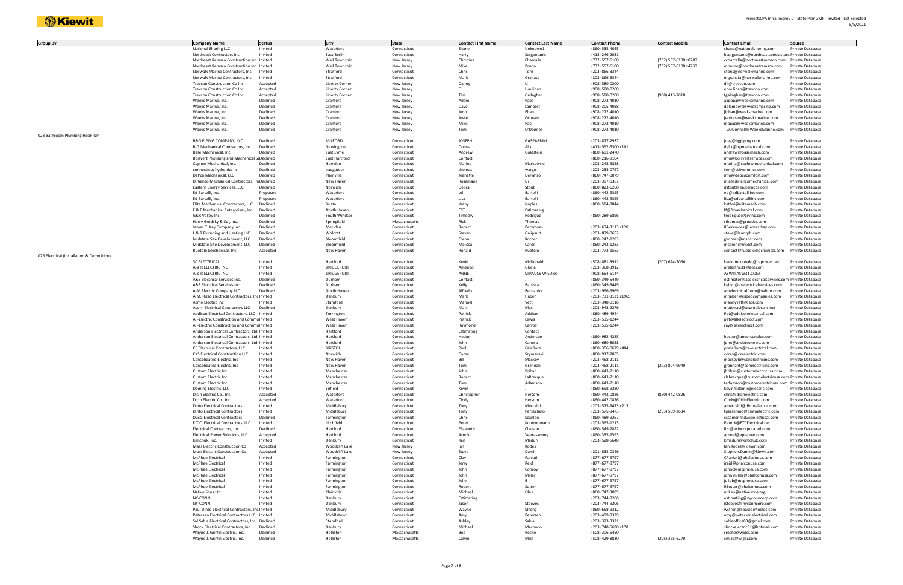| Group By                                   | <b>Company Name</b>                                              | <b>Status</b>        | City                     | <b>State</b>               | <b>Contact First Name</b> | <b>Contact Last Name</b> | <b>Contact Phone</b>             | <b>Contact Mobile</b> | <b>Contact Email</b>                                | Source                               |
|--------------------------------------------|------------------------------------------------------------------|----------------------|--------------------------|----------------------------|---------------------------|--------------------------|----------------------------------|-----------------------|-----------------------------------------------------|--------------------------------------|
|                                            | National Shoring LLC                                             | Invited              | Waterford                | Connecticut                | Shane                     | Unknown1                 | (860) 535-4025                   |                       | shane@nationalshoring.com                           | Private Database                     |
|                                            | Northeast Contractors Inc.                                       | Invited              | East Berlin              | Connecticut                | Harry                     | Sergentanis              | (413) 246-2031                   |                       | hsergentanis@northeastcontractors. Private Database |                                      |
|                                            | Northeast Remsco Construction Inc Invited                        |                      | Wall Township            | New Jersey                 | Christine                 | Charcalla                | (732) 557-6100                   | (732) 557-6100 x0200  | ccharcalla@northeastremsco.com Private Database     |                                      |
|                                            | Northeast Remsco Construction Inc Invited                        |                      | Wall Township            | New Jersey                 | Mike                      | Bruno                    | (732) 557-6100                   | (732) 557-6100 x4230  | mbruno@northeastremsco.com                          | <b>Private Database</b>              |
|                                            | Norwalk Marine Contractors, Inc.                                 | Invited              | Stratford                | Connecticut                | Chris                     | Toris                    | (203) 866-3344                   |                       | ctoris@norwalkmarine.com                            | Private Database                     |
|                                            | Norwalk Marine Contractors, Inc.                                 | Invited              | Stratford                | Connecticut                | Mark                      | Granata                  | (203) 866-3344                   |                       | mgranata@norwalkmarine.com                          | Private Database                     |
|                                            | <b>Trevcon Construction Co Inc</b>                               | Accepted             | <b>Liberty Corner</b>    | New Jersey                 | Danny                     | Li                       | (908) 580-0200                   |                       | dli@trevcon.com                                     | Private Database                     |
|                                            | <b>Trevcon Construction Co Inc</b>                               | Accepted             | Liberty Corner           | New Jersey                 |                           | Houlihan                 | (908) 580-0200                   |                       | ehoulihan@trevcon.com                               | Private Database                     |
|                                            | <b>Trevcon Construction Co Inc</b>                               | Accepted             | Liberty Corner           | New Jersey                 | Tim                       | Gallagher                | (908) 580-0200                   | (908) 413-7618        | tgallagher@trevcon.com                              | Private Database                     |
|                                            | Weeks Marine, Inc.                                               | Declined             | Cranford                 | New Jersey                 | Adam                      | Papa                     | (908) 272-4010                   |                       | aapapa@weeksmarine.com                              | Private Database                     |
|                                            | Weeks Marine, Inc.                                               | Declined             | Cranford                 | New Jersey                 | Dave                      | Lambert                  | (908) 305-4088                   |                       | dplambert@weeksmarine.com                           | Private Database                     |
|                                            | Weeks Marine, Inc.                                               | Declined             | Cranford                 | New Jersey                 | Jenn                      | Phan                     | (908) 272-4010                   |                       | jlphan@weeksmarine.com                              | Private Database                     |
|                                            | Weeks Marine, Inc.                                               | Declined             | Cranford                 | New Jersey                 | Jesse                     | Ottesen                  | (908) 272-4010                   |                       | jeottesen@weeksmarine.com                           | Private Database                     |
|                                            | Weeks Marine, Inc.                                               | Declined             | Cranford                 | New Jersey                 | Mike                      | Paci                     | (908) 272-4010                   |                       | mapaci@weeksmarine.com                              | Private Database                     |
|                                            | Weeks Marine, Inc.                                               | Declined             | Cranford                 | New Jersey                 | Tom                       | O'Donnell                | (908) 272-4010                   |                       | TGODonnell@WeeksMarine.com                          | Private Database                     |
| 023 Bathroom Plumbing Hook-UP              |                                                                  |                      |                          |                            |                           |                          |                                  |                       |                                                     |                                      |
|                                            | B&G PIPING COMPANY, INC.                                         | Declined             | <b>MILFORD</b>           | Connecticut                | <b>JOSEPH</b>             | <b>GASPARRINI</b>        | (203) 877-2937                   |                       | joeg@bgpiping.com                                   | Private Database                     |
|                                            | B-G Mechanical Contractors, Inc.                                 | Declined             | Newington                | Connecticut                | Donna                     | Alix                     | (413) 592-5300 x101              |                       | dalix@bgmechanical.com                              | Private Database                     |
|                                            | Base Mechanical, Inc.                                            | Declined             | East Lyme                | Connecticut                | Andrew                    | Goldstein                | (860) 691-2470                   |                       | andrew@basemech.com                                 | Private Database                     |
|                                            | Boisvert Plumbing and Mechanical S Declined                      |                      | East Hartford            | Connecticut                | Contact                   |                          | (860) 216-9104                   |                       | info@boisvertservices.com                           | Private Database                     |
|                                            | Caplow Mechanical, Inc.                                          | Declined             | Hamden                   | Connecticut                | Marina                    | Markowski                | (203) 248-9858                   |                       | marina@caplowmechanical.com                         | Private Database                     |
|                                            | connecticut hydronics llc                                        | Declined             | naugatuck                | Connecticut                | thomas                    | wargo                    | (203) 233-0797                   |                       | tom@cthydronics.com                                 | Private Database                     |
|                                            | DePco Mechanical, LLC                                            | Declined             | Plainville               | Connecticut                | Jeanette                  | DePietro                 | (860) 747-0079                   |                       | info@depcocomfort.com                               | Private Database                     |
|                                            | DiRienzo Mechanical Contractors, In Declined                     |                      | New Haven                | Connecticut                | Rosemarie                 | Di                       | (203) 397-0367                   |                       | mia@dirienzomechanical.com                          | Private Database                     |
|                                            | Eastern Energy Services, LLC                                     | Declined             | Norwich                  | Connecticut                | Debra                     | Stout                    | (860) 823-6260                   |                       | dstout@easterncos.com                               | Private Database                     |
|                                            | Ed Bartelli, Inc.                                                | Proposed             | Waterford                | Connecticut                | ed                        | Bartelli                 | (860) 442-9395                   |                       | ed@edbartelliinc.com                                | Private Database                     |
|                                            | Ed Bartelli, Inc.                                                | Proposed             | Waterford                | Connecticut                | Lisa                      | Bartelli                 | (860) 442-9395                   |                       | lisa@edbartelliinc.com                              | Private Database                     |
|                                            | Elite Mechanical Contractors, LLC                                | Declined             | Bristol                  | Connecticut                | Kathy                     | Naples                   | (860) 584-8844                   |                       | kathyl@elitemech.com                                | Private Database                     |
|                                            | F & F Mechanical Enterprises, Inc.                               | Declined             | North Haven              | Connecticut                | EST                       | Estimating               |                                  |                       | ff@ffmechanical.com                                 | Private Database                     |
|                                            | G&R Valley Inc                                                   | Declined             | South Windsor            | Connecticut                | Timothy                   | Rodrigue                 | (860) 289-6896                   |                       | trodrigue@grvinc.com                                | Private Database                     |
|                                            | Harry Grodsky & Co., Inc.                                        | Declined             | Springfield              | Massachusetts              | Rick                      | Thomas                   |                                  |                       | rthomas@grodsky.com                                 | Private Database                     |
|                                            | James T. Kay Company Inc.                                        | Declined             | Meriden                  | Connecticut                | Robert                    | Berkmoes                 | (203) 634-3113 x120              |                       | RBerkmoes@Jamestkay.com                             | Private Database                     |
|                                            | L & R Plumbing and Heating LLC                                   | Declined<br>Declined | Wolcott<br>Bloomfield    | Connecticut                | Steven<br>Glenn           | Galipault                | (203) 879-0652<br>(860) 242-1283 |                       | steve@landrph.com<br>gkorner@msdct.com              | Private Database                     |
|                                            | Midstate Site Development, LLC<br>Midstate Site Development, LLC | Declined             | Bloomfield               | Connecticut<br>Connecticut | Melissa                   | Korner<br>Caron          | (860) 242-1283                   |                       | mcaron@msdct.com                                    | Private Database<br>Private Database |
|                                            | Ruotolo Mechanical, Inc.                                         |                      | New Haven                | Connecticut                | Ronald                    | Ruotolo                  |                                  |                       | contact@ruotolomechanical.com                       | Private Database                     |
| 026 Electrical (Installation & Demolition) |                                                                  | Accepted             |                          |                            |                           |                          | (203) 772-1563                   |                       |                                                     |                                      |
|                                            | <b>3C ELECTRICAL</b>                                             | Invited              | Hartford                 | Connecticut                | Kevin                     | McDonald                 | (508) 881-3911                   | (207) 624-2056        | kevin.mcdonald@cepower.net                          | Private Database                     |
|                                            | A & R ELECTRIC INC                                               | Invited              | <b>BRIDGEPORT</b>        | Connecticut                | Americo                   | Gloria                   | (203) 368-3912                   |                       | arelectric31@aol.com                                | Private Database                     |
|                                            | A & R ELECTRIC INC                                               | Invited              | <b>BRIDGEPORT</b>        | Connecticut                | ANNE                      | STRAUSS-WIEDEF           | (908) 654-5144                   |                       | ASW@ASW31.COM                                       | Private Database                     |
|                                            | A&S Electrical Services Inc.                                     | Declined             | Durham                   | Connecticut                | Contact                   |                          | (860) 349-5449                   |                       | estimator@aselectricalservices.com Private Database |                                      |
|                                            | A&S Electrical Services Inc.                                     | Declined             | Durham                   | Connecticut                | Kelly                     | Battista                 | (860) 349-5449                   |                       | kellyb@aselectricalservices.com                     | Private Database                     |
|                                            | A-M Electric Company LLC                                         | Declined             | North Haver              | Connecticut                | Alfredo                   | Bernardo                 | (203) 996-9969                   |                       | amelectric.alfredo@yahoo.com                        | Private Database                     |
|                                            | A.M. Rizzo Electrical Contractors, Inc Invited                   |                      | Danbury                  | Connecticut                | Mark                      | Haber                    | (203) 731-3131 x1965             |                       | mhaber@rizzoocompanies.com                          | Private Database                     |
|                                            | Acme Electric Inc                                                | Invited              | Stamford                 | Connecticut                | Manuel                    | Vetti                    | (203) 348-0116                   |                       | mannyvetti@aol.com                                  | Private Database                     |
|                                            | Acorn Electrical Contractors LLC                                 | Declined             | Danbury                  | Connecticut                | Matt                      | Masi                     | (203) 948-2276                   |                       | mattmasi@acornelectric.net                          | Private Database                     |
|                                            | Addison Electrical Contractors, LLC Invited                      |                      | Torrington               | Connecticut                | Patrick                   | Addison                  | (860) 489-4944                   |                       | Pat@addisonelectrical.com                           | Private Database                     |
|                                            | All-Electric Construction and Commu Invited                      |                      | West Haven               | Connecticut                | Patrick                   | Lewis                    | (203) 535-1244                   |                       | pat@allelectricct.com                               | Private Database                     |
|                                            | All-Electric Construction and Commu Invited                      |                      | West Haven               | Connecticut                | Raymond                   | Carroll                  | (203) 535-1244                   |                       | ray@allelectricct.com                               | Private Database                     |
|                                            | Anderson Electrical Contractors, Ltd. Invited                    |                      | Hartford                 | Connecticut                | Estimating                | Contact                  |                                  |                       |                                                     | Private Database                     |
|                                            | Anderson Electrical Contractors, Ltd. Invited                    |                      | Hartford                 | Connecticut                | Hector                    | Anderson                 | (860) 982-4285                   |                       | hector@andersonelec.com                             | Private Database                     |
|                                            | Anderson Electrical Contractors, Ltd. Invited                    |                      | Hartford                 | Connecticut                | John                      | Canora                   | (860) 680-8058                   |                       | john@andersonelec.com                               | Private Database                     |
|                                            | CE Electrical Contractors, LLC                                   | Invited              | <b>BRISTOL</b>           | Connecticut                | Paul                      | Calafiore                | (860) 356-0679 x404              |                       | pcalafiore@ce-electrical.com                        | Private Database                     |
|                                            | <b>CKS Electrical Construction LLC</b>                           | Invited              | Norwich                  | Connecticut                | Corey                     | Szymanski                | (860) 917-2055                   |                       | corey@ckselectric.com                               | Private Database                     |
|                                            | Consolidated Electric, Inc                                       | Invited              | New Haven                | Connecticut                | Bill                      | Mackey                   | (203) 468-2111                   |                       | mackeyb@conelectricinc.com                          | Private Database                     |
|                                            | Consolidated Electric, Inc                                       | Invited              | New Haven                | Connecticut                | Tom                       | Grennan                  | (203) 468-2111                   | (203) 804-9949        | grennant@conelectricinc.com                         | Private Database                     |
|                                            | Custom Electric Inc                                              | Invite               | Mancheste                | Connecticul                | Johr                      | Brihar                   | (860) 643-7110                   |                       | ibrihan@customelectricusa.com                       | Private Databası                     |
|                                            | Custom Electric Inc                                              | Invited              | Manchester               | Connecticut                | Robert                    | LaBrecque                | (860) 643-7110                   |                       | rlabrecque@customelectricusa.com Private Database   |                                      |
|                                            | Custom Electric Inc                                              | Invited              | Manchester               | Connecticut                | Tom                       | Adamson                  | (860) 643-7110                   |                       | tadamson@customelectricusa.com Private Database     |                                      |
|                                            | Deming Electric, LLC                                             | Invited              | Enfield                  | Connecticut                | Kevin                     |                          | (860) 698-9280                   |                       | kevin@demingelectric.com                            | Private Database                     |
|                                            | Dicin Electric Co., Inc.                                         | Accepted             | Waterford                | Connecticut                | Christopher               | Hersom                   | (860) 442-0826                   | (860) 442-0826        | chris@dicinelectric.com                             | Private Database                     |
|                                            | Dicin Electric Co., Inc.                                         | Accepted             | Waterford                | Connecticut                | Cindy                     | Hersom                   | (860) 442-0826                   |                       | Cindy@DicinElectric.com                             | Private Database                     |
|                                            | <b>Dinto Electrical Contractors</b>                              | Invited              | Middlebury               | Connecticut                | Tony                      | Mercaldi                 | (203) 575-9473 x213              |                       | amercaldi@dintoelectric.com                         | Private Database                     |
|                                            | <b>Dinto Electrical Contractors</b>                              | Invited              | Middlebury               | Connecticut                | Tony                      | Persechino               | (203) 575-9473                   | (203) 509-2634        | tpersehino@dintoelectric.com                        | Private Database                     |
|                                            | <b>Ducci Electrical Contractors</b>                              | Declined             | Farmington               | Connecticut                | Chris                     | Scanlon                  | (860) 489-9267                   |                       | cscanlon@duccielectrical.com                        | Private Database                     |
|                                            | E.T.C. Electrical Contractors, LLC                               | Invited              | Litchfield               | Connecticut                | Peter                     | Koutroumanis             | (203) 565-1213                   |                       | PeterK@ETCElectrical.net                            | Private Database                     |
|                                            | Electrical Contractors, Inc.                                     | Declined             | Hartford                 | Connecticut                | Elizabeth                 | Clauson                  | (860) 549-2822                   |                       | lizc@ecincorporated.com                             | Private Database                     |
|                                            | Electrical Power Solutions, LLC                                  | Accepted             | Hartford                 | Connecticut                | Arnold                    | Veerasammy               | (860) 335-7593                   |                       | arnold@eps-pow.com                                  | Private Database                     |
|                                            | Kimchuk, Inc.                                                    | Invited              | Danbury                  | Connecticut                | Ken                       | Maduri                   | (203) 528-5640                   |                       | kmaduri@kimchuk.com                                 | Private Database                     |
|                                            | Mass Electric Construction Co                                    | Accepted             | Woodcliff Lake           | New Jersey                 | lan                       | Kodes                    |                                  |                       | lan.Kodes@kiewit.com                                | Private Database                     |
|                                            | Mass Electric Construction Co                                    | Accepted             | Woodcliff Lake           | New Jersey                 | Steve                     | Damin                    | (201) 832-0346                   |                       | Stephen.Damin@kiewit.com                            | Private Database                     |
|                                            | McPhee Electrical                                                | Invited              | Farmington               | Connecticut                | Clay                      | Paniati<br>Reid          | (877) 677-9797                   |                       | CPaniati@phalconusa.com                             | Private Database                     |
|                                            | McPhee Electrical<br>McPhee Electrical                           | Invited<br>Invited   | Farmington<br>Farmington | Connecticut<br>Connecticut | Jerry<br>John             | Conroy                   | (877) 677-9797<br>(877) 677-9797 |                       | jreid@phalconusa.com<br>johnc@mcpheeusa.com         | Private Database<br>Private Database |
|                                            | McPhee Electrical                                                | Invited              | Farmington               |                            | John                      | Miller                   | (877) 677-9797                   |                       |                                                     | Private Database                     |
|                                            | McPhee Electrical                                                | Invited              |                          | Connecticut                | Julie                     |                          |                                  |                       | john.miller@phalconusa.com                          | Private Database                     |
|                                            | McPhee Electrical                                                | Invited              | Farmington               | Connecticut                | Robert                    | Sutter                   | (877) 677-9797<br>(877) 677-9797 |                       | julieb@mcpheeusa.com<br>RSutter@phalconusa.com      | Private Database                     |
|                                            | Native Sons Ltd.                                                 | Invited              | Farmington<br>Plainville | Connecticut<br>Connecticut | Michael                   | Oles                     | (860) 747-3095                   |                       |                                                     | Private Database                     |
|                                            | NY-CONN                                                          | Invited              | Danbury                  | Connecticut                | Estimating                |                          | (203) 744-9206                   |                       | mikeo@nativesons.org<br>estimating@nyconncorp.com   | Private Database                     |
|                                            | NY-CONN                                                          | Invited              | Danbury                  | Connecticut                | Jason                     | Steeves                  | (203) 744-9206                   |                       | jsteeves@nyconncorp.com                             | Private Database                     |
|                                            | Paul Dinto Electrical Contractors. Inc Invited                   |                      | Middlebury               | Connecticut                | Wayne                     | Strong                   | (860) 658-9312                   |                       | wstrong@pauldintoelec.com                           | Private Database                     |
|                                            | Petersen Electrical Contractors LLC Invited                      |                      | Middletown               | Connecticut                | Amy                       | Petersen                 | (203) 499-9339                   |                       | amy@petersenelectrical.com                          | Private Database                     |
|                                            | Sal Sabia Electrical Contractors, Inc. Declined                  |                      | Stamford                 | Connecticut                | Ashley                    | Sabia                    | (203) 323-3321                   |                       | sabiaoffice83@gmail.com                             | Private Database                     |
|                                            | Shock Electrical Contractors, Inc.                               | Declined             | Danbury                  | Connecticut                | Michael                   | Machado                  | (203) 748-5690 x178              |                       | shockelectric81@hotmail.com                         | Private Database                     |
|                                            | Wayne J. Griffin Electric, Inc.                                  | Declined             | Holliston                | Massachusetts              | Bob                       | Roche                    | (508) 306-5450                   |                       | rroche@wjgei.com                                    | Private Database                     |
|                                            | Wayne J. Griffin Electric, Inc.                                  | Declined             | Holliston                | Massachusetts              | Calvin                    | Mize                     | (508) 429-8830                   | (205) 365-6270        | cmize@wjgei.com                                     | Private Database                     |
|                                            |                                                                  |                      |                          |                            |                           |                          |                                  |                       |                                                     |                                      |